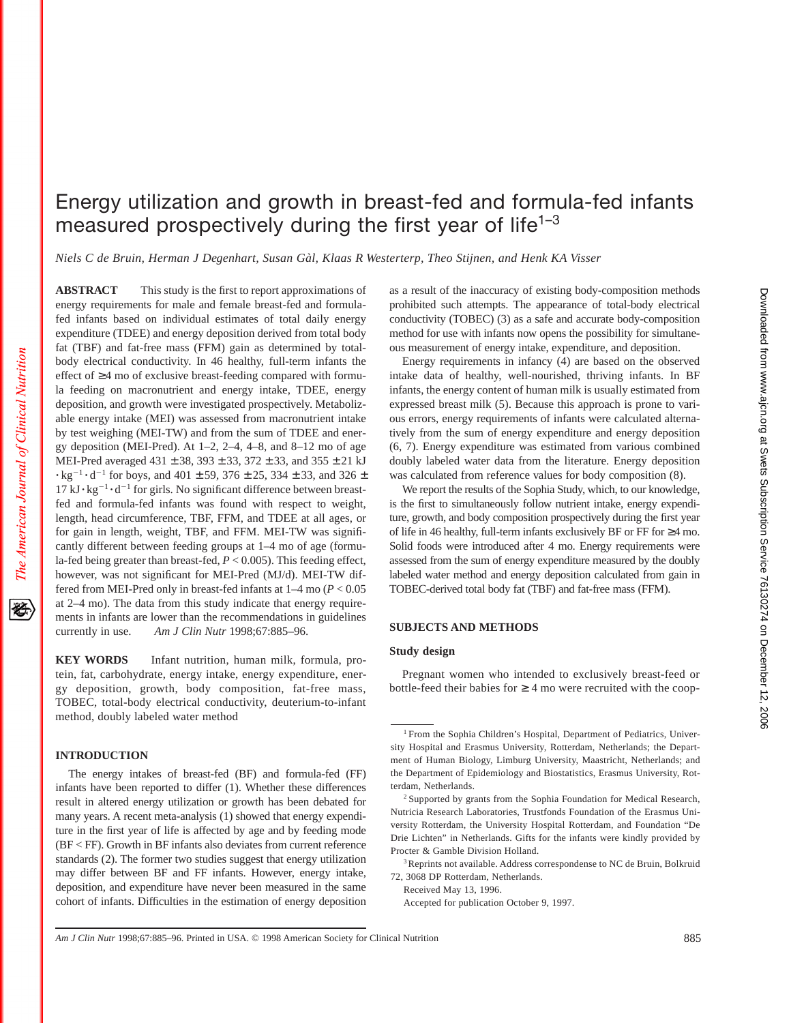# **ABSTRACT** This study is the first to report approximations of energy requirements for male and female breast-fed and formula-

The American Journal of Clinical Nutrition

袳

fed infants based on individual estimates of total daily energy expenditure (TDEE) and energy deposition derived from total body fat (TBF) and fat-free mass (FFM) gain as determined by totalbody electrical conductivity. In 46 healthy, full-term infants the effect of ≥4 mo of exclusive breast-feeding compared with formula feeding on macronutrient and energy intake, TDEE, energy deposition, and growth were investigated prospectively. Metabolizable energy intake (MEI) was assessed from macronutrient intake by test weighing (MEI-TW) and from the sum of TDEE and energy deposition (MEI-Pred). At  $1-2$ ,  $2-4$ ,  $4-8$ , and  $8-12$  mo of age MEI-Pred averaged 431 ± 38, 393 ± 33, 372 ± 33, and 355 ± 21 kJ  $\cdot$  kg<sup>-1</sup> $\cdot$  d<sup>-1</sup> for boys, and 401  $\pm$  59, 376  $\pm$  25, 334  $\pm$  33, and 326  $\pm$  $17 \text{ kJ} \cdot \text{kg}^{-1} \cdot \text{d}^{-1}$  for girls. No significant difference between breastfed and formula-fed infants was found with respect to weight, length, head circumference, TBF, FFM, and TDEE at all ages, or for gain in length, weight, TBF, and FFM. MEI-TW was significantly different between feeding groups at 1–4 mo of age (formula-fed being greater than breast-fed, *P* < 0.005). This feeding effect, however, was not significant for MEI-Pred (MJ/d). MEI-TW differed from MEI-Pred only in breast-fed infants at 1–4 mo (*P* < 0.05 at 2–4 mo). The data from this study indicate that energy requirements in infants are lower than the recommendations in guidelines currently in use. *Am J Clin Nutr* 1998;67:885–96.

**KEY WORDS** Infant nutrition, human milk, formula, protein, fat, carbohydrate, energy intake, energy expenditure, energy deposition, growth, body composition, fat-free mass, TOBEC, total-body electrical conductivity, deuterium-to-infant method, doubly labeled water method

# **INTRODUCTION**

The energy intakes of breast-fed (BF) and formula-fed (FF) infants have been reported to differ (1). Whether these differences result in altered energy utilization or growth has been debated for many years. A recent meta-analysis (1) showed that energy expenditure in the first year of life is affected by age and by feeding mode (BF < FF). Growth in BF infants also deviates from current reference standards (2). The former two studies suggest that energy utilization may differ between BF and FF infants. However, energy intake, deposition, and expenditure have never been measured in the same cohort of infants. Difficulties in the estimation of energy deposition as a result of the inaccuracy of existing body-composition methods prohibited such attempts. The appearance of total-body electrical conductivity (TOBEC) (3) as a safe and accurate body-composition method for use with infants now opens the possibility for simultaneous measurement of energy intake, expenditure, and deposition.

Energy requirements in infancy (4) are based on the observed intake data of healthy, well-nourished, thriving infants. In BF infants, the energy content of human milk is usually estimated from expressed breast milk (5). Because this approach is prone to various errors, energy requirements of infants were calculated alternatively from the sum of energy expenditure and energy deposition (6, 7). Energy expenditure was estimated from various combined doubly labeled water data from the literature. Energy deposition was calculated from reference values for body composition (8).

We report the results of the Sophia Study, which, to our knowledge, is the first to simultaneously follow nutrient intake, energy expenditure, growth, and body composition prospectively during the first year of life in 46 healthy, full-term infants exclusively BF or FF for ≥4 mo. Solid foods were introduced after 4 mo. Energy requirements were assessed from the sum of energy expenditure measured by the doubly labeled water method and energy deposition calculated from gain in TOBEC-derived total body fat (TBF) and fat-free mass (FFM).

## **SUBJECTS AND METHODS**

## **Study design**

Energy utilization and growth in breast-fed and formula-fed infants

measured prospectively during the first year of life<sup>1-3</sup>

*Niels C de Bruin, Herman J Degenhart, Susan Gàl, Klaas R Westerterp, Theo Stijnen, and Henk KA Visser*

Pregnant women who intended to exclusively breast-feed or bottle-feed their babies for  $\geq 4$  mo were recruited with the coop-

Received May 13, 1996. Accepted for publication October 9, 1997.

<sup>&</sup>lt;sup>1</sup> From the Sophia Children's Hospital, Department of Pediatrics, University Hospital and Erasmus University, Rotterdam, Netherlands; the Department of Human Biology, Limburg University, Maastricht, Netherlands; and the Department of Epidemiology and Biostatistics, Erasmus University, Rotterdam, Netherlands.

<sup>&</sup>lt;sup>2</sup> Supported by grants from the Sophia Foundation for Medical Research, Nutricia Research Laboratories, Trustfonds Foundation of the Erasmus University Rotterdam, the University Hospital Rotterdam, and Foundation "De Drie Lichten" in Netherlands. Gifts for the infants were kindly provided by Procter & Gamble Division Holland.

<sup>&</sup>lt;sup>3</sup>Reprints not available. Address correspondense to NC de Bruin, Bolkruid 72, 3068 DP Rotterdam, Netherlands.

*Am J Clin Nutr* 1998;67:885–96. Printed in USA. © 1998 American Society for Clinical Nutrition 885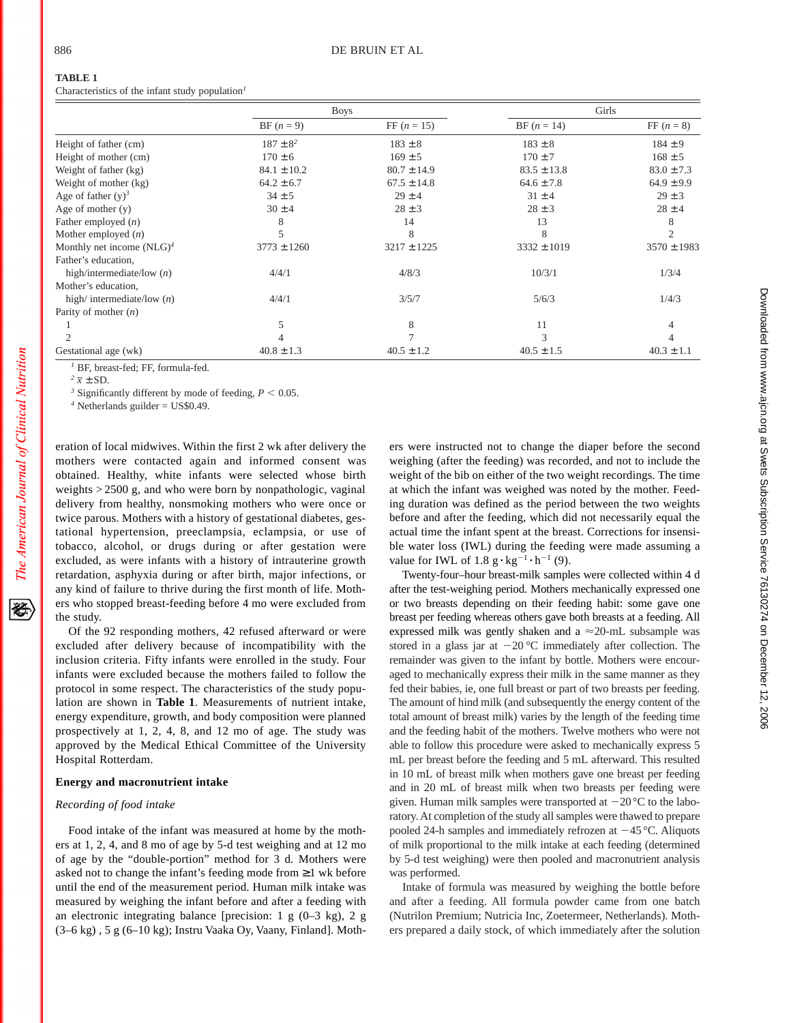Characteristics of the infant study population*<sup>1</sup>*

|                              | <b>Boys</b>     |                 | Girls           |                 |
|------------------------------|-----------------|-----------------|-----------------|-----------------|
|                              | $BF (n = 9)$    | FF $(n = 15)$   | $BF (n = 14)$   | $FF (n = 8)$    |
| Height of father (cm)        | $187 \pm 8^2$   | $183 \pm 8$     | $183 \pm 8$     | $184 \pm 9$     |
| Height of mother (cm)        | $170 \pm 6$     | $169 \pm 5$     | $170 \pm 7$     | $168 \pm 5$     |
| Weight of father (kg)        | $84.1 \pm 10.2$ | $80.7 \pm 14.9$ | $83.5 \pm 13.8$ | $83.0 \pm 7.3$  |
| Weight of mother (kg)        | $64.2 \pm 6.7$  | $67.5 \pm 14.8$ | $64.6 \pm 7.8$  | $64.9 \pm 9.9$  |
| Age of father $(y)^3$        | $34 \pm 5$      | $29 \pm 4$      | $31 \pm 4$      | $29 \pm 3$      |
| Age of mother $(y)$          | $30 \pm 4$      | $28 \pm 3$      | $28 \pm 3$      | $28 \pm 4$      |
| Father employed $(n)$        | 8               | 14              | 13              |                 |
| Mother employed $(n)$        | 5               | 8               | 8               | 2               |
| Monthly net income $(NLG)^4$ | $3773 \pm 1260$ | $3217 \pm 1225$ | $3332 \pm 1019$ | $3570 \pm 1983$ |
| Father's education,          |                 |                 |                 |                 |
| high/intermediate/low $(n)$  | 4/4/1           | 4/8/3           | 10/3/1          | 1/3/4           |
| Mother's education,          |                 |                 |                 |                 |
| high/ intermediate/low $(n)$ | 4/4/1           | 3/5/7           | 5/6/3           | 1/4/3           |
| Parity of mother $(n)$       |                 |                 |                 |                 |
|                              | 5               | 8               | 11              |                 |
|                              |                 |                 | 3               |                 |
| Gestational age (wk)         | $40.8 \pm 1.3$  | $40.5 \pm 1.2$  | $40.5 \pm 1.5$  | $40.3 \pm 1.1$  |

*<sup>1</sup>* BF, breast-fed; FF, formula-fed.

 $2\bar{x} \pm SD$ .

The American Journal of Clinical Nutrition

<sup>3</sup> Significantly different by mode of feeding,  $P < 0.05$ .

*<sup>4</sup>* Netherlands guilder = US\$0.49.

eration of local midwives. Within the first 2 wk after delivery the mothers were contacted again and informed consent was obtained. Healthy, white infants were selected whose birth weights > 2500 g, and who were born by nonpathologic, vaginal delivery from healthy, nonsmoking mothers who were once or twice parous. Mothers with a history of gestational diabetes, gestational hypertension, preeclampsia, eclampsia, or use of tobacco, alcohol, or drugs during or after gestation were excluded, as were infants with a history of intrauterine growth retardation, asphyxia during or after birth, major infections, or any kind of failure to thrive during the first month of life. Mothers who stopped breast-feeding before 4 mo were excluded from the study.

Of the 92 responding mothers, 42 refused afterward or were excluded after delivery because of incompatibility with the inclusion criteria. Fifty infants were enrolled in the study. Four infants were excluded because the mothers failed to follow the protocol in some respect. The characteristics of the study population are shown in **Table 1**. Measurements of nutrient intake, energy expenditure, growth, and body composition were planned prospectively at 1, 2, 4, 8, and 12 mo of age. The study was approved by the Medical Ethical Committee of the University Hospital Rotterdam.

## **Energy and macronutrient intake**

## *Recording of food intake*

Food intake of the infant was measured at home by the mothers at 1, 2, 4, and 8 mo of age by 5-d test weighing and at 12 mo of age by the "double-portion" method for 3 d. Mothers were asked not to change the infant's feeding mode from ≥1 wk before until the end of the measurement period. Human milk intake was measured by weighing the infant before and after a feeding with an electronic integrating balance [precision: 1 g (0–3 kg), 2 g (3–6 kg) , 5 g (6–10 kg); Instru Vaaka Oy, Vaany, Finland]. Mothers were instructed not to change the diaper before the second weighing (after the feeding) was recorded, and not to include the weight of the bib on either of the two weight recordings. The time at which the infant was weighed was noted by the mother. Feeding duration was defined as the period between the two weights before and after the feeding, which did not necessarily equal the actual time the infant spent at the breast. Corrections for insensible water loss (IWL) during the feeding were made assuming a value for IWL of 1.8  $g \cdot kg^{-1} \cdot h^{-1}$  (9).

Twenty-four–hour breast-milk samples were collected within 4 d after the test-weighing period. Mothers mechanically expressed one or two breasts depending on their feeding habit: some gave one breast per feeding whereas others gave both breasts at a feeding. All expressed milk was gently shaken and a  $\approx$  20-mL subsample was stored in a glass jar at  $-20$  °C immediately after collection. The remainder was given to the infant by bottle. Mothers were encouraged to mechanically express their milk in the same manner as they fed their babies, ie, one full breast or part of two breasts per feeding. The amount of hind milk (and subsequently the energy content of the total amount of breast milk) varies by the length of the feeding time and the feeding habit of the mothers. Twelve mothers who were not able to follow this procedure were asked to mechanically express 5 mL per breast before the feeding and 5 mL afterward. This resulted in 10 mL of breast milk when mothers gave one breast per feeding and in 20 mL of breast milk when two breasts per feeding were given. Human milk samples were transported at  $-20^{\circ}$ C to the laboratory. At completion of the study all samples were thawed to prepare pooled 24-h samples and immediately refrozen at  $-45$  °C. Aliquots of milk proportional to the milk intake at each feeding (determined by 5-d test weighing) were then pooled and macronutrient analysis was performed.

Intake of formula was measured by weighing the bottle before and after a feeding. All formula powder came from one batch (Nutrilon Premium; Nutricia Inc, Zoetermeer, Netherlands). Mothers prepared a daily stock, of which immediately after the solution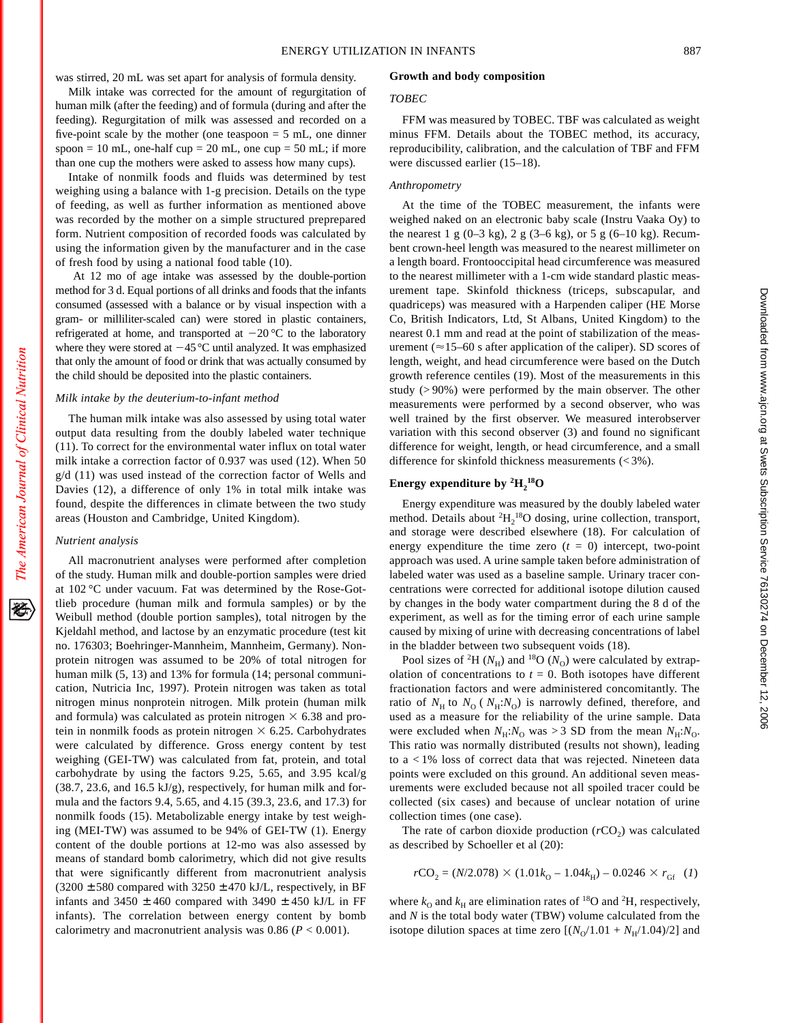was stirred, 20 mL was set apart for analysis of formula density.

Milk intake was corrected for the amount of regurgitation of human milk (after the feeding) and of formula (during and after the feeding). Regurgitation of milk was assessed and recorded on a five-point scale by the mother (one teaspoon  $= 5$  mL, one dinner spoon = 10 mL, one-half cup = 20 mL, one cup = 50 mL; if more than one cup the mothers were asked to assess how many cups).

Intake of nonmilk foods and fluids was determined by test weighing using a balance with 1-g precision. Details on the type of feeding, as well as further information as mentioned above was recorded by the mother on a simple structured preprepared form. Nutrient composition of recorded foods was calculated by using the information given by the manufacturer and in the case of fresh food by using a national food table (10).

At 12 mo of age intake was assessed by the double-portion method for 3 d. Equal portions of all drinks and foods that the infants consumed (assessed with a balance or by visual inspection with a gram- or milliliter-scaled can) were stored in plastic containers, refrigerated at home, and transported at  $-20$  °C to the laboratory where they were stored at  $-45^{\circ}$ C until analyzed. It was emphasized that only the amount of food or drink that was actually consumed by the child should be deposited into the plastic containers.

#### *Milk intake by the deuterium-to-infant method*

The human milk intake was also assessed by using total water output data resulting from the doubly labeled water technique (11). To correct for the environmental water influx on total water milk intake a correction factor of 0.937 was used (12). When 50 g/d (11) was used instead of the correction factor of Wells and Davies (12), a difference of only 1% in total milk intake was found, despite the differences in climate between the two study areas (Houston and Cambridge, United Kingdom).

#### *Nutrient analysis*

All macronutrient analyses were performed after completion of the study. Human milk and double-portion samples were dried at 102 °C under vacuum. Fat was determined by the Rose-Gottlieb procedure (human milk and formula samples) or by the Weibull method (double portion samples), total nitrogen by the Kjeldahl method, and lactose by an enzymatic procedure (test kit no. 176303; Boehringer-Mannheim, Mannheim, Germany). Nonprotein nitrogen was assumed to be 20% of total nitrogen for human milk (5, 13) and 13% for formula (14; personal communication, Nutricia Inc, 1997). Protein nitrogen was taken as total nitrogen minus nonprotein nitrogen. Milk protein (human milk and formula) was calculated as protein nitrogen  $\times$  6.38 and protein in nonmilk foods as protein nitrogen  $\times$  6.25. Carbohydrates were calculated by difference. Gross energy content by test weighing (GEI-TW) was calculated from fat, protein, and total carbohydrate by using the factors 9.25, 5.65, and 3.95 kcal/g (38.7, 23.6, and 16.5 kJ/g), respectively, for human milk and formula and the factors 9.4, 5.65, and 4.15 (39.3, 23.6, and 17.3) for nonmilk foods (15). Metabolizable energy intake by test weighing (MEI-TW) was assumed to be 94% of GEI-TW (1). Energy content of the double portions at 12-mo was also assessed by means of standard bomb calorimetry, which did not give results that were significantly different from macronutrient analysis  $(3200 \pm 580$  compared with  $3250 \pm 470$  kJ/L, respectively, in BF infants and  $3450 \pm 460$  compared with  $3490 \pm 450$  kJ/L in FF infants). The correlation between energy content by bomb calorimetry and macronutrient analysis was 0.86 (*P* < 0.001).

#### **Growth and body composition**

#### *TOBEC*

FFM was measured by TOBEC. TBF was calculated as weight minus FFM. Details about the TOBEC method, its accuracy, reproducibility, calibration, and the calculation of TBF and FFM were discussed earlier (15–18).

## *Anthropometry*

At the time of the TOBEC measurement, the infants were weighed naked on an electronic baby scale (Instru Vaaka Oy) to the nearest 1 g  $(0-3 \text{ kg})$ , 2 g  $(3-6 \text{ kg})$ , or 5 g  $(6-10 \text{ kg})$ . Recumbent crown-heel length was measured to the nearest millimeter on a length board. Frontooccipital head circumference was measured to the nearest millimeter with a 1-cm wide standard plastic measurement tape. Skinfold thickness (triceps, subscapular, and quadriceps) was measured with a Harpenden caliper (HE Morse Co, British Indicators, Ltd, St Albans, United Kingdom) to the nearest 0.1 mm and read at the point of stabilization of the measurement ( $\approx$ 15–60 s after application of the caliper). SD scores of length, weight, and head circumference were based on the Dutch growth reference centiles (19). Most of the measurements in this study (> 90%) were performed by the main observer. The other measurements were performed by a second observer, who was well trained by the first observer. We measured interobserver variation with this second observer (3) and found no significant difference for weight, length, or head circumference, and a small difference for skinfold thickness measurements (< 3%).

# Energy expenditure by  ${}^{2}H_{2}^{18}O$

Energy expenditure was measured by the doubly labeled water method. Details about <sup>2</sup>H<sub>2</sub><sup>18</sup>O dosing, urine collection, transport, and storage were described elsewhere (18). For calculation of energy expenditure the time zero  $(t = 0)$  intercept, two-point approach was used. A urine sample taken before administration of labeled water was used as a baseline sample. Urinary tracer concentrations were corrected for additional isotope dilution caused by changes in the body water compartment during the 8 d of the experiment, as well as for the timing error of each urine sample caused by mixing of urine with decreasing concentrations of label in the bladder between two subsequent voids (18).

Pool sizes of <sup>2</sup>H ( $N_H$ ) and <sup>18</sup>O ( $N_O$ ) were calculated by extrapolation of concentrations to  $t = 0$ . Both isotopes have different fractionation factors and were administered concomitantly. The ratio of  $N_{\rm H}$  to  $N_{\rm O}$  ( $N_{\rm H}: N_{\rm O}$ ) is narrowly defined, therefore, and used as a measure for the reliability of the urine sample. Data were excluded when  $N_{\text{H}}$ : $N_{\text{O}}$  was > 3 SD from the mean  $N_{\text{H}}$ : $N_{\text{O}}$ . This ratio was normally distributed (results not shown), leading to a < 1% loss of correct data that was rejected. Nineteen data points were excluded on this ground. An additional seven measurements were excluded because not all spoiled tracer could be collected (six cases) and because of unclear notation of urine collection times (one case).

The rate of carbon dioxide production  $(rCO<sub>2</sub>)$  was calculated as described by Schoeller et al (20):

$$
r\text{CO}_2 = (N/2.078) \times (1.01k_0 - 1.04k_{\text{H}}) - 0.0246 \times r_{\text{GF}} \quad (1)
$$

where  $k_0$  and  $k_H$  are elimination rates of <sup>18</sup>O and <sup>2</sup>H, respectively, and *N* is the total body water (TBW) volume calculated from the isotope dilution spaces at time zero  $[(N<sub>O</sub>/1.01 + N<sub>H</sub>/1.04)/2]$  and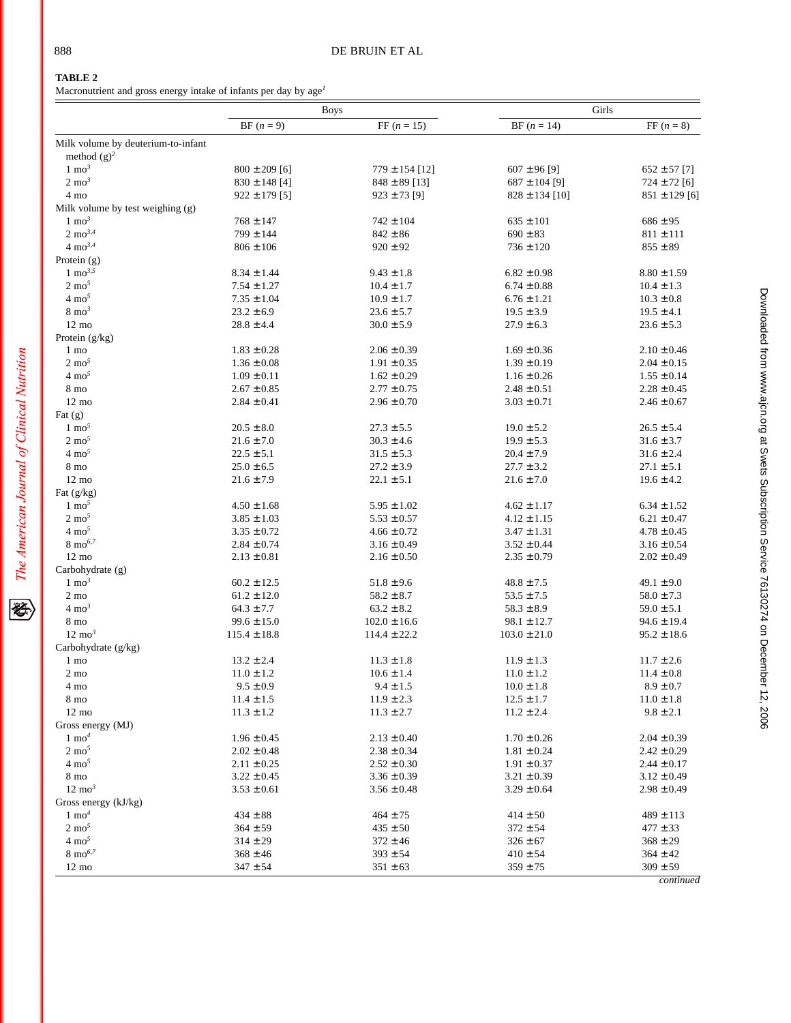经

# **TABLE 2**

Macronutrient and gross energy intake of infants per day by age*<sup>1</sup>*

|                                    | <b>Boys</b>       |                    | Girls              |                   |
|------------------------------------|-------------------|--------------------|--------------------|-------------------|
|                                    | $BF (n = 9)$      | $FF (n = 15)$      | $BF (n = 14)$      | FF $(n = 8)$      |
| Milk volume by deuterium-to-infant |                   |                    |                    |                   |
| method $(g)^2$<br>$1 \text{ mo}^3$ |                   |                    |                    |                   |
|                                    | $800 \pm 209$ [6] | $779 \pm 154$ [12] | $607 \pm 96$ [9]   | $652 \pm 57$ [7]  |
| $2 \text{ mo}^3$                   | $830 \pm 148$ [4] | $848 \pm 89$ [13]  | $687 \pm 104$ [9]  | $724\pm72$ [6]    |
| 4 mo                               | $922 \pm 179$ [5] | $923 \pm 73$ [9]   | $828 \pm 134$ [10] | $851 \pm 129$ [6] |
| Milk volume by test weighing (g)   |                   |                    |                    |                   |
| $1 \text{ mo}^3$                   | $768 \pm 147$     | $742 \pm 104$      | $635 \pm 101$      | $686 \pm 95$      |
| $2 \text{ mo}^{3,4}$               | $799 \pm 144$     | $842 \pm 86$       | $690 \pm 83$       | $811 \pm 111$     |
| $4 \text{ mo}^{3,4}$               | $806 \pm 106$     | $920 \pm 92$       | $736 \pm 120$      | $855\pm89$        |
| Protein $(g)$                      |                   |                    |                    |                   |
| $1 \text{ mo}^{3,5}$               | $8.34 \pm 1.44$   | $9.43 \pm 1.8$     | $6.82 \pm 0.98$    | $8.80 \pm 1.59$   |
| $2 \text{ mo}^5$                   | $7.54 \pm 1.27$   | $10.4 \pm 1.7$     | $6.74 \pm 0.88$    | $10.4 \pm 1.3$    |
| $4 \text{ mo}^5$                   | $7.35 \pm 1.04$   | $10.9 \pm 1.7$     | $6.76 \pm 1.21$    | $10.3 \pm 0.8$    |
| $8 \text{ mo}^3$                   | $23.2 \pm 6.9$    | $23.6 \pm 5.7$     | $19.5 \pm 3.9$     | $19.5 \pm 4.1$    |
| $12 \text{ mo}$                    | $28.8 \pm 4.4$    | $30.0 \pm 5.9$     | $27.9 \pm 6.3$     | $23.6 \pm 5.3$    |
| Protein (g/kg)                     |                   |                    |                    |                   |
| 1 mo                               | $1.83 \pm 0.28$   | $2.06 \pm 0.39$    | $1.69 \pm 0.36$    | $2.10 \pm 0.46$   |
| $2 \text{ mo}^5$                   | $1.36 \pm 0.08$   | $1.91 \pm 0.35$    | $1.39 \pm 0.19$    | $2.04 \pm 0.15$   |
| $4 \text{ mo}^5$                   | $1.09 \pm 0.11$   | $1.62 \pm 0.29$    | $1.16 \pm 0.26$    | $1.55 \pm 0.14$   |
| 8 mo                               | $2.67 \pm 0.85$   | $2.77 \pm 0.75$    | $2.48 \pm 0.51$    | $2.28 \pm 0.45$   |
| $12 \text{ mo}$                    | $2.84 \pm 0.41$   | $2.96 \pm 0.70$    | $3.03 \pm 0.71$    | $2.46 \pm 0.67$   |
| Fat $(g)$                          |                   |                    |                    |                   |
| $1 \text{ mo}^5$                   | $20.5 \pm 8.0$    | $27.3 \pm 5.5$     | $19.0 \pm 5.2$     | $26.5 \pm 5.4$    |
| $2 \text{ mo}^5$                   | $21.6 \pm 7.0$    | $30.3 \pm 4.6$     | $19.9 \pm 5.3$     | $31.6 \pm 3.7$    |
| $4 \text{ mo}^5$                   | $22.5 \pm 5.1$    | $31.5 \pm 5.3$     | $20.4 \pm 7.9$     | $31.6 \pm 2.4$    |
| 8 mo                               | $25.0 \pm 6.5$    | $27.2 \pm 3.9$     | $27.7 \pm 3.2$     | $27.1 \pm 5.1$    |
| $12 \text{ mo}$                    | $21.6 \pm 7.9$    | $22.1 \pm 5.1$     | $21.6 \pm 7.0$     | $19.6 \pm 4.2$    |
| Fat $(g/kg)$                       |                   |                    |                    |                   |
| $1 \text{ mo}^5$                   | $4.50 \pm 1.68$   | $5.95 \pm 1.02$    | $4.62 \pm 1.17$    | $6.34 \pm 1.52$   |
| $2 \text{ mo}^5$                   | $3.85 \pm 1.03$   | $5.53 \pm 0.57$    | $4.12 \pm 1.15$    | $6.21 \pm 0.47$   |
| $4 \text{ mo}^5$                   | $3.35 \pm 0.72$   | $4.66 \pm 0.72$    | $3.47 \pm 1.31$    | $4.78 \pm 0.45$   |
| $8 \text{ mo}^{6,7}$               | $2.84 \pm 0.74$   | $3.16 \pm 0.49$    | $3.52 \pm 0.44$    | $3.16 \pm 0.54$   |
| $12 \text{ mo}$                    | $2.13 \pm 0.81$   | $2.16 \pm 0.50$    | $2.35 \pm 0.79$    | $2.02 \pm 0.49$   |
| Carbohydrate (g)                   |                   |                    |                    |                   |
| $1 \text{ mo}^3$                   | $60.2 \pm 12.5$   | $51.8 \pm 9.6$     | $48.8 \pm 7.5$     | $49.1 \pm 9.0$    |
| $2 \text{ mo}$                     | $61.2 \pm 12.0$   | $58.2 \pm 8.7$     | $53.5 \pm 7.5$     | $58.0 \pm 7.3$    |
| $4 \text{ mo}^3$                   | $64.3 \pm 7.7$    | $63.2 \pm 8.2$     | $58.3 \pm 8.9$     | $59.0 \pm 5.1$    |
| 8 mo                               | $99.6 \pm 15.0$   | $102.0 \pm 16.6$   | $98.1 \pm 12.7$    | $94.6 \pm 19.4$   |
| $12 \text{ mo}^3$                  | $115.4 \pm 18.8$  | $114.4 \pm 22.2$   | $103.0 \pm 21.0$   | $95.2 \pm 18.6$   |
| Carbohydrate $(g/kg)$              |                   |                    |                    |                   |
| 1 mo                               | $13.2 \pm 2.4$    | $11.3 \pm 1.8$     | $11.9 \pm 1.3$     | $11.7 \pm 2.6$    |
| $2\ {\rm mo}$                      | $11.0 \pm 1.2$    | $10.6 \pm 1.4$     | $11.0 \pm 1.2$     | $11.4 \pm 0.8$    |
|                                    | $9.5 \pm 0.9$     |                    | $10.0 \pm 1.8$     | $8.9 \pm 0.7$     |
| 4 mo                               |                   | $9.4 \pm 1.5$      |                    |                   |
| 8 mo                               | $11.4 \pm 1.5$    | $11.9 \pm 2.3$     | $12.5 \pm 1.7$     | $11.0 \pm 1.8$    |
| $12 \text{ mo}$                    | $11.3 \pm 1.2$    | $11.3 \pm 2.7$     | $11.2 \pm 2.4$     | $9.8 \pm 2.1$     |
| Gross energy (MJ)                  |                   |                    |                    |                   |
| $1 \text{ mo}^4$                   | $1.96 \pm 0.45$   | $2.13 \pm 0.40$    | $1.70 \pm 0.26$    | $2.04 \pm 0.39$   |
| $2 \text{ mo}^5$                   | $2.02 \pm 0.48$   | $2.38 \pm 0.34$    | $1.81 \pm 0.24$    | $2.42 \pm 0.29$   |
| $4 \text{ mo}^5$                   | $2.11 \pm 0.25$   | $2.52 \pm 0.30$    | $1.91 \pm 0.37$    | $2.44 \pm 0.17$   |
| 8 mo                               | $3.22 \pm 0.45$   | $3.36 \pm 0.39$    | $3.21 \pm 0.39$    | $3.12 \pm 0.49$   |
| $12 \text{ mo}^3$                  | $3.53 \pm 0.61$   | $3.56 \pm 0.48$    | $3.29 \pm 0.64$    | $2.98 \pm 0.49$   |
| Gross energy (kJ/kg)               |                   |                    |                    |                   |
| $1 \text{ mo}^4$                   | $434 \pm 88$      | $464 \pm 75$       | $414 \pm 50$       | $489 \pm 113$     |
| $2 \text{ mo}^5$                   | $364 \pm 59$      | $435 \pm 50$       | $372 \pm 54$       | $477 \pm 33$      |
| $4 \text{ mo}^5$                   | $314 \pm 29$      | $372 \pm 46$       | $326 \pm 67$       | $368 \pm 29$      |
| $8 \text{ mo}^{6,7}$               | $368 \pm 46$      | $393 \pm 54$       | $410 \pm 54$       | $364 \pm 42$      |
| $12 \text{ mo}$                    | $347 \pm 54$      | $351 \pm 63$       | $359 \pm 75$       | $309 \pm 59$      |

*continued*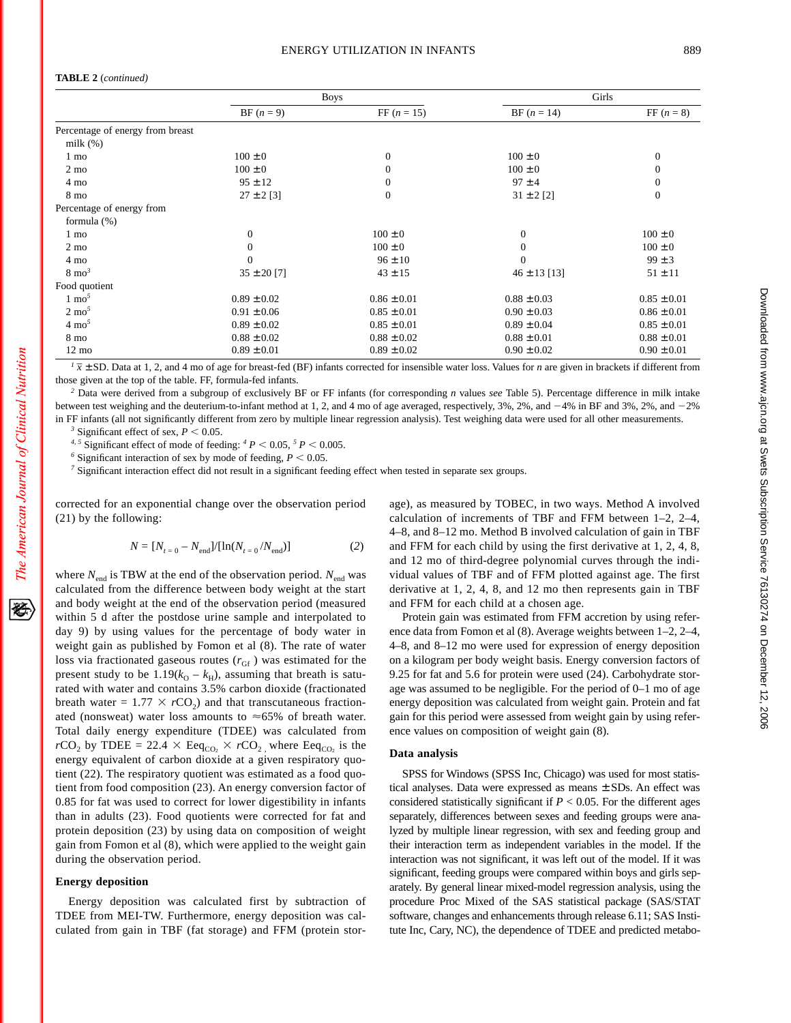#### **TABLE 2** (*continued)*

|                                  | <b>Boys</b>     |                 | Girls            |                  |
|----------------------------------|-----------------|-----------------|------------------|------------------|
|                                  | $BF (n = 9)$    | FF $(n = 15)$   | $BF (n = 14)$    | FF $(n = 8)$     |
| Percentage of energy from breast |                 |                 |                  |                  |
| milk $(\%)$                      |                 |                 |                  |                  |
| 1 mo                             | $100 \pm 0$     | $\Omega$        | $100 \pm 0$      | $\mathbf{0}$     |
| $2 \text{ mo}$                   | $100 \pm 0$     | $\Omega$        | $100 \pm 0$      | $\mathbf{0}$     |
| 4 mo                             | $95 \pm 12$     | $\left($        | $97 \pm 4$       | $\boldsymbol{0}$ |
| 8 mo                             | $27 \pm 2$ [3]  | $\theta$        | $31 \pm 2$ [2]   | $\mathbf{0}$     |
| Percentage of energy from        |                 |                 |                  |                  |
| formula $(\%)$                   |                 |                 |                  |                  |
| 1 mo                             | $\mathbf{0}$    | $100 \pm 0$     | $\theta$         | $100 \pm 0$      |
| $2 \text{ mo}$                   | $\Omega$        | $100 \pm 0$     | $\overline{0}$   | $100 \pm 0$      |
| 4 mo                             | $\Omega$        | $96 \pm 10$     | $\mathbf{0}$     | $99 \pm 3$       |
| $8 \text{ mo}^3$                 | $35 \pm 20$ [7] | $43 \pm 15$     | $46 \pm 13$ [13] | $51 \pm 11$      |
| Food quotient                    |                 |                 |                  |                  |
| $1 \text{ mo}^5$                 | $0.89 \pm 0.02$ | $0.86 \pm 0.01$ | $0.88 \pm 0.03$  | $0.85 \pm 0.01$  |
| $2 \text{ mo}^5$                 | $0.91 \pm 0.06$ | $0.85 \pm 0.01$ | $0.90 \pm 0.03$  | $0.86 \pm 0.01$  |
| $4 \text{ mo}^5$                 | $0.89 \pm 0.02$ | $0.85 \pm 0.01$ | $0.89 \pm 0.04$  | $0.85 \pm 0.01$  |
| 8 mo                             | $0.88 \pm 0.02$ | $0.88 \pm 0.02$ | $0.88 \pm 0.01$  | $0.88 \pm 0.01$  |
| $12 \text{ mo}$                  | $0.89 \pm 0.01$ | $0.89 \pm 0.02$ | $0.90 \pm 0.02$  | $0.90 \pm 0.01$  |

 $\sqrt{l}$   $\bar{x}$  ± SD. Data at 1, 2, and 4 mo of age for breast-fed (BF) infants corrected for insensible water loss. Values for *n* are given in brackets if different from those given at the top of the table. FF, formula-fed infants.

*<sup>2</sup>* Data were derived from a subgroup of exclusively BF or FF infants (for corresponding *n* values *see* Table 5). Percentage difference in milk intake between test weighing and the deuterium-to-infant method at 1, 2, and 4 mo of age averaged, respectively, 3%, 2%, and  $-4\%$  in BF and 3%, 2%, and  $-2\%$ in FF infants (all not significantly different from zero by multiple linear regression analysis). Test weighing data were used for all other measurements.

<sup>3</sup> Significant effect of sex,  $P < 0.05$ .

<sup>4, 5</sup> Significant effect of mode of feeding:  $^{4}P$  < 0.05, <sup>5</sup> *P* < 0.005.

<sup>6</sup> Significant interaction of sex by mode of feeding,  $P < 0.05$ .

*<sup>7</sup>* Significant interaction effect did not result in a significant feeding effect when tested in separate sex groups.

corrected for an exponential change over the observation period (21) by the following:

$$
N = [N_{t=0} - N_{\text{end}}]/[\ln(N_{t=0}/N_{\text{end}})]
$$
 (2)

where  $N_{\text{end}}$  is TBW at the end of the observation period.  $N_{\text{end}}$  was calculated from the difference between body weight at the start and body weight at the end of the observation period (measured within 5 d after the postdose urine sample and interpolated to day 9) by using values for the percentage of body water in weight gain as published by Fomon et al (8). The rate of water loss via fractionated gaseous routes  $(r_{\text{Gf}})$  was estimated for the present study to be  $1.19(k<sub>O</sub> - k<sub>H</sub>)$ , assuming that breath is saturated with water and contains 3.5% carbon dioxide (fractionated breath water =  $1.77 \times rCO<sub>2</sub>$ ) and that transcutaneous fractionated (nonsweat) water loss amounts to  $\approx 65\%$  of breath water. Total daily energy expenditure (TDEE) was calculated from  $rCO_2$  by TDEE = 22.4  $\times$  Eeq<sub>CO2</sub>  $\times$   $rCO_2$ <sub>2</sub> where Eeq<sub>CO2</sub> is the energy equivalent of carbon dioxide at a given respiratory quotient (22). The respiratory quotient was estimated as a food quotient from food composition (23). An energy conversion factor of 0.85 for fat was used to correct for lower digestibility in infants than in adults (23). Food quotients were corrected for fat and protein deposition (23) by using data on composition of weight gain from Fomon et al (8), which were applied to the weight gain during the observation period.

#### **Energy deposition**

Energy deposition was calculated first by subtraction of TDEE from MEI-TW. Furthermore, energy deposition was calculated from gain in TBF (fat storage) and FFM (protein stor-

age), as measured by TOBEC, in two ways. Method A involved calculation of increments of TBF and FFM between 1–2, 2–4, 4–8, and 8–12 mo. Method B involved calculation of gain in TBF and FFM for each child by using the first derivative at 1, 2, 4, 8, and 12 mo of third-degree polynomial curves through the individual values of TBF and of FFM plotted against age. The first derivative at 1, 2, 4, 8, and 12 mo then represents gain in TBF and FFM for each child at a chosen age.

Protein gain was estimated from FFM accretion by using reference data from Fomon et al (8). Average weights between 1–2, 2–4, 4–8, and 8–12 mo were used for expression of energy deposition on a kilogram per body weight basis. Energy conversion factors of 9.25 for fat and 5.6 for protein were used (24). Carbohydrate storage was assumed to be negligible. For the period of 0–1 mo of age energy deposition was calculated from weight gain. Protein and fat gain for this period were assessed from weight gain by using reference values on composition of weight gain (8).

## **Data analysis**

SPSS for Windows (SPSS Inc, Chicago) was used for most statistical analyses. Data were expressed as means ± SDs. An effect was considered statistically significant if  $P < 0.05$ . For the different ages separately, differences between sexes and feeding groups were analyzed by multiple linear regression, with sex and feeding group and their interaction term as independent variables in the model. If the interaction was not significant, it was left out of the model. If it was significant, feeding groups were compared within boys and girls separately. By general linear mixed-model regression analysis, using the procedure Proc Mixed of the SAS statistical package (SAS/STAT software, changes and enhancements through release 6.11; SAS Institute Inc, Cary, NC), the dependence of TDEE and predicted metabo-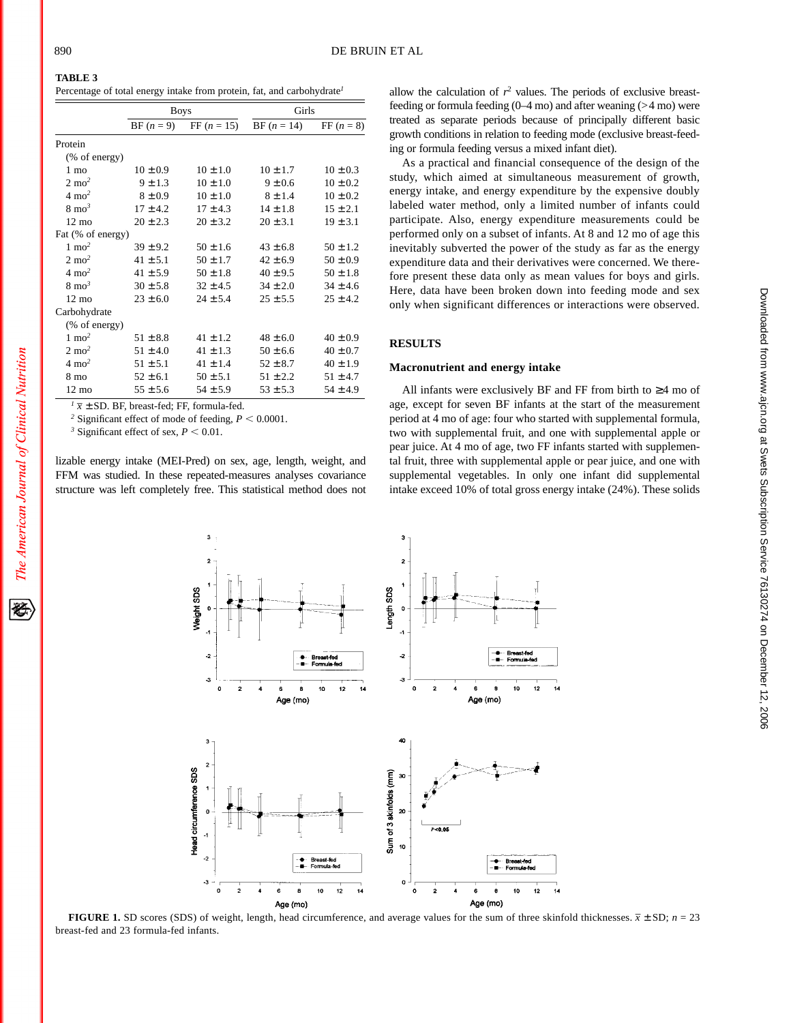袳

# **TABLE 3**

Percentage of total energy intake from protein, fat, and carbohydrate*<sup>1</sup>*

|                   | <b>Boys</b>  |               | Girls         |              |
|-------------------|--------------|---------------|---------------|--------------|
|                   | $BF (n = 9)$ | FF $(n = 15)$ | $BF (n = 14)$ | $FF (n = 8)$ |
| Protein           |              |               |               |              |
| (% of energy)     |              |               |               |              |
| $1 \text{ mo}$    | $10 \pm 0.9$ | $10 \pm 1.0$  | $10 \pm 1.7$  | $10 \pm 0.3$ |
| $2 \text{ mo}^2$  | $9 \pm 1.3$  | $10 + 1.0$    | $9 \pm 0.6$   | $10 \pm 0.2$ |
| $4 \text{ mo}^2$  | $8 \pm 0.9$  | $10 \pm 1.0$  | $8 \pm 1.4$   | $10 \pm 0.2$ |
| $8 \text{ mo}^3$  | $17 \pm 4.2$ | $17 \pm 4.3$  | $14 \pm 1.8$  | $15 \pm 2.1$ |
| $12 \text{ mo}$   | $20 \pm 2.3$ | $20 \pm 3.2$  | $20 \pm 3.1$  | $19 \pm 3.1$ |
| Fat (% of energy) |              |               |               |              |
| $1 \text{ mo}^2$  | $39 \pm 9.2$ | $50 \pm 1.6$  | $43 \pm 6.8$  | $50 \pm 1.2$ |
| $2 \text{ mo}^2$  | $41 \pm 5.1$ | $50 \pm 1.7$  | $42 \pm 6.9$  | $50 \pm 0.9$ |
| $4 \text{ mo}^2$  | $41 \pm 5.9$ | $50 \pm 1.8$  | $40 \pm 9.5$  | $50 \pm 1.8$ |
| $8 \text{ mo}^3$  | $30 \pm 5.8$ | $32 \pm 4.5$  | $34 \pm 2.0$  | $34 \pm 4.6$ |
| $12 \text{ mo}$   | $23 \pm 6.0$ | $24 \pm 5.4$  | $25 \pm 5.5$  | $25 \pm 4.2$ |
| Carbohydrate      |              |               |               |              |
| (% of energy)     |              |               |               |              |
| $1 \text{ mo}^2$  | $51 \pm 8.8$ | $41 \pm 1.2$  | $48 \pm 6.0$  | $40 \pm 0.9$ |
| $2 \text{ mo}^2$  | $51 \pm 4.0$ | $41 \pm 1.3$  | $50 \pm 6.6$  | $40 \pm 0.7$ |
| $4 \text{ mo}^2$  | $51 \pm 5.1$ | $41 \pm 1.4$  | $52 \pm 8.7$  | $40 \pm 1.9$ |
| 8 mo              | $52 \pm 6.1$ | $50 \pm 5.1$  | $51 \pm 2.2$  | $51 \pm 4.7$ |
| $12 \text{ mo}$   | $55 \pm 5.6$ | $54 \pm 5.9$  | $53 \pm 5.3$  | $54 \pm 4.9$ |

 $\sqrt{I} \bar{x} \pm SD$ . BF, breast-fed; FF, formula-fed.

<sup>2</sup> Significant effect of mode of feeding,  $P < 0.0001$ .

<sup>3</sup> Significant effect of sex,  $P < 0.01$ .

lizable energy intake (MEI-Pred) on sex, age, length, weight, and FFM was studied. In these repeated-measures analyses covariance structure was left completely free. This statistical method does not

allow the calculation of  $r^2$  values. The periods of exclusive breastfeeding or formula feeding  $(0-4 \text{ mo})$  and after weaning  $(>4 \text{ mo})$  were treated as separate periods because of principally different basic growth conditions in relation to feeding mode (exclusive breast-feeding or formula feeding versus a mixed infant diet).

As a practical and financial consequence of the design of the study, which aimed at simultaneous measurement of growth, energy intake, and energy expenditure by the expensive doubly labeled water method, only a limited number of infants could participate. Also, energy expenditure measurements could be performed only on a subset of infants. At 8 and 12 mo of age this inevitably subverted the power of the study as far as the energy expenditure data and their derivatives were concerned. We therefore present these data only as mean values for boys and girls. Here, data have been broken down into feeding mode and sex only when significant differences or interactions were observed.

## **RESULTS**

#### **Macronutrient and energy intake**

All infants were exclusively BF and FF from birth to  $\geq 4$  mo of age, except for seven BF infants at the start of the measurement period at 4 mo of age: four who started with supplemental formula, two with supplemental fruit, and one with supplemental apple or pear juice. At 4 mo of age, two FF infants started with supplemental fruit, three with supplemental apple or pear juice, and one with supplemental vegetables. In only one infant did supplemental intake exceed 10% of total gross energy intake (24%). These solids



**FIGURE 1.** SD scores (SDS) of weight, length, head circumference, and average values for the sum of three skinfold thicknesses.  $\bar{x} \pm SD$ ;  $n = 23$ breast-fed and 23 formula-fed infants.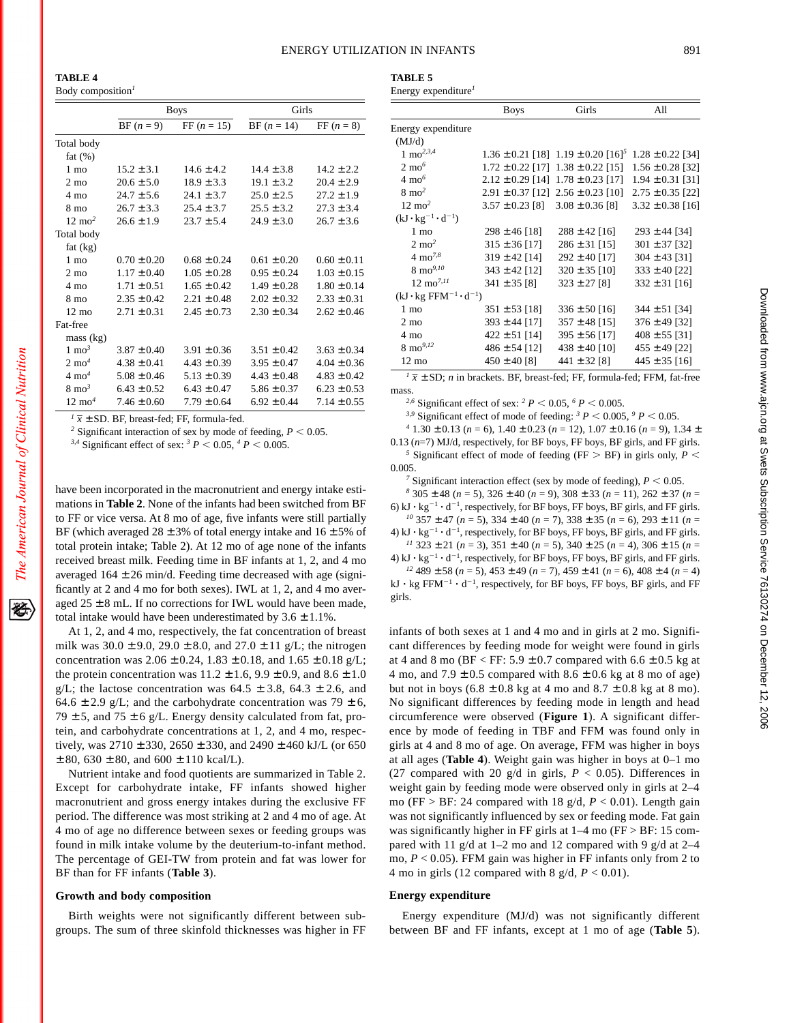**TABLE 4**

Body composition*<sup>1</sup>*

|                   |                 | <b>Boys</b>                                                  | Girls           |                 |
|-------------------|-----------------|--------------------------------------------------------------|-----------------|-----------------|
|                   | $BF (n = 9)$    | FF $(n = 15)$                                                | $BF (n = 14)$   | $FF (n = 8)$    |
| Total body        |                 |                                                              |                 |                 |
| fat $(\%)$        |                 |                                                              |                 |                 |
| $1 \text{ mo}$    | $15.2 \pm 3.1$  | $14.6 \pm 4.2$                                               | $14.4 \pm 3.8$  | $14.2 \pm 2.2$  |
| $2 \text{ mo}$    | $20.6 \pm 5.0$  | $18.9 \pm 3.3$                                               | $19.1 \pm 3.2$  | $20.4 \pm 2.9$  |
| 4 mo              | $24.7 \pm 5.6$  | $24.1 \pm 3.7$                                               | $25.0 \pm 2.5$  | $27.2 \pm 1.9$  |
| 8 mo              | $26.7 \pm 3.3$  | $25.4 \pm 3.7$                                               | $25.5 \pm 3.2$  | $27.3 \pm 3.4$  |
| $12 \text{ mo}^2$ | $26.6 \pm 1.9$  | $23.7 \pm 5.4$                                               | $24.9 \pm 3.0$  | $26.7 \pm 3.6$  |
| Total body        |                 |                                                              |                 |                 |
| fat $(kg)$        |                 |                                                              |                 |                 |
| $1 \text{ mo}$    | $0.70 \pm 0.20$ | $0.68 \pm 0.24$                                              | $0.61 \pm 0.20$ | $0.60 \pm 0.11$ |
| $2 \text{ mo}$    | $1.17 \pm 0.40$ | $1.05 \pm 0.28$                                              | $0.95 \pm 0.24$ | $1.03 \pm 0.15$ |
| $4 \text{ mo}$    | $1.71 \pm 0.51$ | $1.65 \pm 0.42$                                              | $1.49 \pm 0.28$ | $1.80 \pm 0.14$ |
| 8 mo              | $2.35 \pm 0.42$ | $2.21 \pm 0.48$                                              | $2.02 \pm 0.32$ | $2.33 \pm 0.31$ |
| $12 \text{ mo}$   | $2.71 \pm 0.31$ | $2.45 \pm 0.73$                                              | $2.30 \pm 0.34$ | $2.62 \pm 0.46$ |
| Fat-free          |                 |                                                              |                 |                 |
| mass (kg)         |                 |                                                              |                 |                 |
| $1 \text{ mo}^3$  | $3.87 \pm 0.40$ | $3.91 \pm 0.36$                                              | $3.51 \pm 0.42$ | $3.63 \pm 0.34$ |
| $2 \text{ mo}^4$  | $4.38 \pm 0.41$ | $4.43 \pm 0.39$                                              | $3.95 \pm 0.47$ | $4.04 \pm 0.36$ |
| $4 \text{ mo}^4$  | $5.08 \pm 0.46$ | $5.13 \pm 0.39$                                              | $4.43 \pm 0.48$ | $4.83 \pm 0.42$ |
| $8 \text{ mo}^3$  | $6.43 \pm 0.52$ | $6.43 \pm 0.47$                                              | $5.86 \pm 0.37$ | $6.23 \pm 0.53$ |
| $12 \text{ mo}^4$ | $7.46 \pm 0.60$ | $7.79 \pm 0.64$                                              | $6.92 \pm 0.44$ | $7.14 \pm 0.55$ |
|                   |                 | $\sqrt{l} \bar{x} \pm SD$ . BF, breast-fed; FF, formula-fed. |                 |                 |

*1 x*

<sup>2</sup> Significant interaction of sex by mode of feeding,  $P < 0.05$ .

*3,4* Significant effect of sex: <sup>3</sup>  $P < 0.05$ , <sup>4</sup>  $P < 0.005$ .

have been incorporated in the macronutrient and energy intake estimations in **Table 2**. None of the infants had been switched from BF to FF or vice versa. At 8 mo of age, five infants were still partially BF (which averaged  $28 \pm 3\%$  of total energy intake and  $16 \pm 5\%$  of total protein intake; Table 2). At 12 mo of age none of the infants received breast milk. Feeding time in BF infants at 1, 2, and 4 mo averaged  $164 \pm 26$  min/d. Feeding time decreased with age (significantly at 2 and 4 mo for both sexes). IWL at 1, 2, and 4 mo averaged  $25 \pm 8$  mL. If no corrections for IWL would have been made, total intake would have been underestimated by  $3.6 \pm 1.1\%$ .

At 1, 2, and 4 mo, respectively, the fat concentration of breast milk was  $30.0 \pm 9.0$ ,  $29.0 \pm 8.0$ , and  $27.0 \pm 11$  g/L; the nitrogen concentration was  $2.06 \pm 0.24$ ,  $1.83 \pm 0.18$ , and  $1.65 \pm 0.18$  g/L; the protein concentration was  $11.2 \pm 1.6$ ,  $9.9 \pm 0.9$ , and  $8.6 \pm 1.0$ g/L; the lactose concentration was  $64.5 \pm 3.8$ ,  $64.3 \pm 2.6$ , and 64.6  $\pm$  2.9 g/L; and the carbohydrate concentration was 79  $\pm$  6, 79  $\pm$  5, and 75  $\pm$  6 g/L. Energy density calculated from fat, protein, and carbohydrate concentrations at 1, 2, and 4 mo, respectively, was  $2710 \pm 330$ ,  $2650 \pm 330$ , and  $2490 \pm 460$  kJ/L (or 650  $\pm$  80, 630  $\pm$  80, and 600  $\pm$  110 kcal/L).

Nutrient intake and food quotients are summarized in Table 2. Except for carbohydrate intake, FF infants showed higher macronutrient and gross energy intakes during the exclusive FF period. The difference was most striking at 2 and 4 mo of age. At 4 mo of age no difference between sexes or feeding groups was found in milk intake volume by the deuterium-to-infant method. The percentage of GEI-TW from protein and fat was lower for BF than for FF infants (**Table 3**).

## **Growth and body composition**

Birth weights were not significantly different between subgroups. The sum of three skinfold thicknesses was higher in FF

| тарыв э |                    |
|---------|--------------------|
|         | Energy expenditure |

 $T$ 

|                                                      | <b>Boys</b>         | Girls                                                  | All                  |
|------------------------------------------------------|---------------------|--------------------------------------------------------|----------------------|
| Energy expenditure                                   |                     |                                                        |                      |
| (MJ/d)                                               |                     |                                                        |                      |
| 1 mo <sup>2,3,4</sup>                                |                     | $1.36 \pm 0.21$ [18] $1.19 \pm 0.20$ [16] <sup>5</sup> | $1.28 \pm 0.22$ [34] |
| $2 \text{ mo}^6$                                     |                     | $1.72 \pm 0.22$ [17] $1.38 \pm 0.22$ [15]              | $1.56 \pm 0.28$ [32] |
| $4 \text{ mo}^6$                                     |                     | $2.12 \pm 0.29$ [14] $1.78 \pm 0.23$ [17]              | $1.94 \pm 0.31$ [31] |
| $8 \text{ mo}^2$                                     |                     | $2.91 \pm 0.37$ [12] $2.56 \pm 0.23$ [10]              | $2.75 \pm 0.35$ [22] |
| $12 \text{ mo}^2$                                    | $3.57 \pm 0.23$ [8] | $3.08 \pm 0.36$ [8]                                    | $3.32 \pm 0.38$ [16] |
| $(kJ \cdot kg^{-1} \cdot d^{-1})$                    |                     |                                                        |                      |
| 1 mo                                                 | $298 \pm 46$ [18]   | $288 \pm 42$ [16]                                      | $293 \pm 44$ [34]    |
| $2 \text{ mo}^2$                                     | $315 \pm 36$ [17]   | $286 \pm 31$ [15]                                      | $301 \pm 37$ [32]    |
| $4 \text{ mo}^{7,8}$                                 | $319 \pm 42$ [14]   | $292 \pm 40$ [17]                                      | $304 \pm 43$ [31]    |
| $8 \text{ mo}^{9,10}$                                | $343 \pm 42$ [12]   | $320 \pm 35$ [10]                                      | $333 \pm 40$ [22]    |
| $12 \text{ mo}^{7,11}$                               | $341 \pm 35$ [8]    | $323 \pm 27$ [8]                                       | $332 \pm 31$ [16]    |
| $(kJ \cdot kg$ FFM <sup>-1</sup> · d <sup>-1</sup> ) |                     |                                                        |                      |
| 1 mo                                                 | $351 \pm 53$ [18]   | $336 \pm 50$ [16]                                      | $344 \pm 51$ [34]    |
| $2 \text{ mo}$                                       | $393 \pm 44$ [17]   | $357 \pm 48$ [15]                                      | $376 \pm 49$ [32]    |
| 4 mo                                                 | $422 \pm 51$ [14]   | $395 \pm 56$ [17]                                      | $408 \pm 55$ [31]    |
| $8 \text{ mo}^{9,12}$                                | $486 \pm 54$ [12]   | $438 \pm 40$ [10]                                      | $455 \pm 49$ [22]    |
| $12 \text{ mo}$                                      | $450 \pm 40$ [8]    | $441 \pm 32$ [8]                                       | $445 \pm 35$ [16]    |
|                                                      |                     |                                                        |                      |

 $\frac{1}{x}$   $\pm$  SD; *n* in brackets. BF, breast-fed; FF, formula-fed; FFM, fat-free mass.

<sup>2,6</sup> Significant effect of sex: <sup>2</sup> *P* < 0.05, <sup>6</sup> *P* < 0.005.

<sup>3,9</sup> Significant effect of mode of feeding: <sup>3</sup>  $P \le 0.005$ , <sup>9</sup>  $P \le 0.05$ .

*<sup>4</sup>* 1.30 ± 0.13 (*n* = 6), 1.40 ± 0.23 (*n* = 12), 1.07 ± 0.16 (*n* = 9), 1.34 ±

0.13 (*n*=7) MJ/d, respectively, for BF boys, FF boys, BF girls, and FF girls. <sup>5</sup> Significant effect of mode of feeding (FF  $>$  BF) in girls only,  $P$  < 0.005.

<sup>7</sup> Significant interaction effect (sex by mode of feeding),  $P < 0.05$ .

*<sup>8</sup>* 305 ± 48 (*n* = 5), 326 ± 40 (*n* = 9), 308 ± 33 (*n* = 11), 262 ± 37 (*n* = 6) kJ  $\cdot$  kg<sup>-1</sup>  $\cdot$  d<sup>-1</sup>, respectively, for BF boys, FF boys, BF girls, and FF girls. *<sup>10</sup>* 357 ± 47 (*n* = 5), 334 ± 40 (*n* = 7), 338 ± 35 (*n* = 6), 293 ± 11 (*n* =

4) kJ  $\cdot$  kg<sup>-1</sup>  $\cdot$  d<sup>-1</sup>, respectively, for BF boys, FF boys, BF girls, and FF girls. *<sup>11</sup>* 323 ± 21 (*n* = 3), 351 ± 40 (*n* = 5), 340 ± 25 (*n* = 4), 306 ± 15 (*n* =

4) kJ  $\cdot$  kg<sup>-1</sup>  $\cdot$  d<sup>-1</sup>, respectively, for BF boys, FF boys, BF girls, and FF girls.

*<sup>12</sup>* 489 ± 58 (*n* = 5), 453 ± 49 (*n* = 7), 459 ± 41 (*n* = 6), 408 ± 4 (*n* = 4)  $kJ \cdot kg$  FFM<sup>-1</sup>  $\cdot$  d<sup>-1</sup>, respectively, for BF boys, FF boys, BF girls, and FF girls.

infants of both sexes at 1 and 4 mo and in girls at 2 mo. Significant differences by feeding mode for weight were found in girls at 4 and 8 mo (BF < FF:  $5.9 \pm 0.7$  compared with  $6.6 \pm 0.5$  kg at 4 mo, and  $7.9 \pm 0.5$  compared with  $8.6 \pm 0.6$  kg at 8 mo of age) but not in boys  $(6.8 \pm 0.8 \text{ kg at } 4 \text{ mo and } 8.7 \pm 0.8 \text{ kg at } 8 \text{ mo}).$ No significant differences by feeding mode in length and head circumference were observed (**Figure 1**). A significant difference by mode of feeding in TBF and FFM was found only in girls at 4 and 8 mo of age. On average, FFM was higher in boys at all ages (**Table 4**). Weight gain was higher in boys at 0–1 mo (27 compared with 20  $g/d$  in girls,  $P < 0.05$ ). Differences in weight gain by feeding mode were observed only in girls at 2–4 mo (FF > BF: 24 compared with 18 g/d, *P* < 0.01). Length gain was not significantly influenced by sex or feeding mode. Fat gain was significantly higher in FF girls at  $1-4$  mo (FF > BF: 15 compared with 11 g/d at 1–2 mo and 12 compared with 9 g/d at 2–4 mo, *P* < 0.05). FFM gain was higher in FF infants only from 2 to 4 mo in girls (12 compared with 8 g/d,  $P < 0.01$ ).

## **Energy expenditure**

Energy expenditure (MJ/d) was not significantly different between BF and FF infants, except at 1 mo of age (**Table 5**).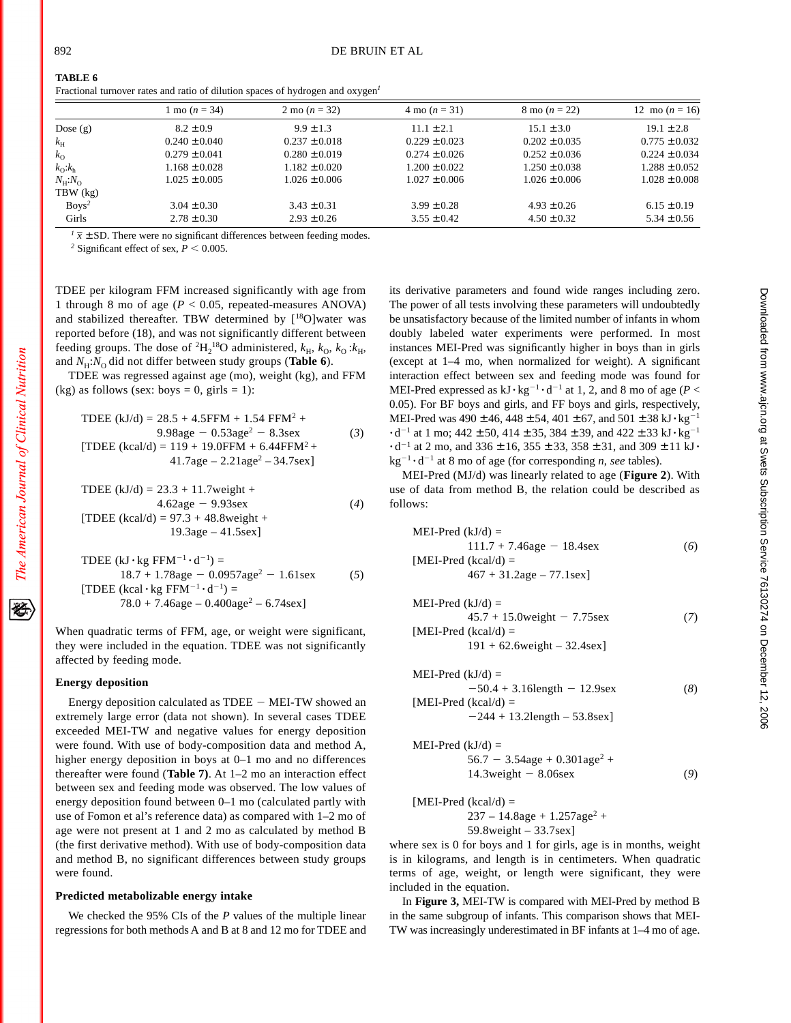| <b>TABLE 6</b> |  |  |  |  |  |
|----------------|--|--|--|--|--|
|                |  |  |  |  |  |

|                               | 1 mo $(n = 34)$   | 2 mo $(n = 32)$   | $4 \text{ mo} (n = 31)$ | 8 mo $(n = 22)$   | 12 mo $(n = 16)$  |
|-------------------------------|-------------------|-------------------|-------------------------|-------------------|-------------------|
| Dose $(g)$                    | $8.2 \pm 0.9$     | $9.9 \pm 1.3$     | $11.1 \pm 2.1$          | $15.1 \pm 3.0$    | $19.1 \pm 2.8$    |
| $k_{\rm H}$                   | $0.240 \pm 0.040$ | $0.237 \pm 0.018$ | $0.229 \pm 0.023$       | $0.202 \pm 0.035$ | $0.775 \pm 0.032$ |
| $k_{\Omega}$                  | $0.279 \pm 0.041$ | $0.280 \pm 0.019$ | $0.274 \pm 0.026$       | $0.252 \pm 0.036$ | $0.224 \pm 0.034$ |
| $k_{\Omega}$ : $k_{\text{h}}$ | $1.168 \pm 0.028$ | $1.182 \pm 0.020$ | $1.200 \pm 0.022$       | $1.250 \pm 0.038$ | $1.288 \pm 0.052$ |
| $N_{\rm H}$ : $N_{\rm O}$     | $1.025 \pm 0.005$ | $1.026 \pm 0.006$ | $1.027 \pm 0.006$       | $1.026 \pm 0.006$ | $1.028 \pm 0.008$ |
| $TBW$ $(kg)$                  |                   |                   |                         |                   |                   |
| $Boys^2$                      | $3.04 \pm 0.30$   | $3.43 \pm 0.31$   | $3.99 \pm 0.28$         | $4.93 \pm 0.26$   | $6.15 \pm 0.19$   |
| Girls                         | $2.78 \pm 0.30$   | $2.93 \pm 0.26$   | $3.55 \pm 0.42$         | $4.50 \pm 0.32$   | $5.34 \pm 0.56$   |
|                               |                   |                   |                         |                   |                   |

Fractional turnover rates and ratio of dilution spaces of hydrogen and oxygen*<sup>1</sup>*

 $\sqrt{I}$   $\bar{x}$   $\pm$  SD. There were no significant differences between feeding modes.

<sup>2</sup> Significant effect of sex,  $P < 0.005$ .

TDEE per kilogram FFM increased significantly with age from 1 through 8 mo of age (*P* < 0.05, repeated-measures ANOVA) and stabilized thereafter. TBW determined by [<sup>18</sup>O]water was reported before (18), and was not significantly different between feeding groups. The dose of <sup>2</sup>H<sub>2</sub><sup>18</sup>O administered,  $k_H$ ,  $k_O$ ,  $k_O$ : $k_H$ , and  $N_H$ : $N_O$  did not differ between study groups (**Table 6**).

TDEE was regressed against age (mo), weight (kg), and FFM (kg) as follows (sex: boys = 0, girls = 1):

TDEE (kJ/d) = 28.5 + 4.5FFM + 1.54 FFM2 + 9.98age 2 0.53age2 2 8.3sex (*3*) [TDEE (kcal/d) = 119 + 19.0FFM + 6.44FFM2 + 41.7age – 2.21age2 – 34.7sex]

TDEE (kJ/d) = 23.3 + 11.7weight + 4.62age 2 9.93sex (*4*) [TDEE (kcal/d) = 97.3 + 48.8weight + 19.3age – 41.5sex]

TDEE (kJ·kg FFM<sup>-1</sup>·d<sup>-1</sup>) =

\n
$$
18.7 + 1.78
$$
\nage = 0.0957

\nage<sup>2</sup> = 1.61

\n18.7 + 1.78

\n[TDEE (kcal·kg FFM<sup>-1</sup>·d<sup>-1</sup>) =

\n
$$
78.0 + 7.46
$$
\nage = 0.400

\nage<sup>2</sup> = 6.74

\nsex]

When quadratic terms of FFM, age, or weight were significant, they were included in the equation. TDEE was not significantly affected by feeding mode.

#### **Energy deposition**

Energy deposition calculated as  $TDEE - MEI-TW$  showed an extremely large error (data not shown). In several cases TDEE exceeded MEI-TW and negative values for energy deposition were found. With use of body-composition data and method A, higher energy deposition in boys at 0–1 mo and no differences thereafter were found (**Table 7)**. At 1–2 mo an interaction effect between sex and feeding mode was observed. The low values of energy deposition found between 0–1 mo (calculated partly with use of Fomon et al's reference data) as compared with 1–2 mo of age were not present at 1 and 2 mo as calculated by method B (the first derivative method). With use of body-composition data and method B, no significant differences between study groups were found.

#### **Predicted metabolizable energy intake**

We checked the 95% CIs of the *P* values of the multiple linear regressions for both methods A and B at 8 and 12 mo for TDEE and

its derivative parameters and found wide ranges including zero. The power of all tests involving these parameters will undoubtedly be unsatisfactory because of the limited number of infants in whom doubly labeled water experiments were performed. In most instances MEI-Pred was significantly higher in boys than in girls (except at 1–4 mo, when normalized for weight). A significant interaction effect between sex and feeding mode was found for MEI-Pred expressed as  $kJ \cdot kg^{-1} \cdot d^{-1}$  at 1, 2, and 8 mo of age ( $P <$ 0.05). For BF boys and girls, and FF boys and girls, respectively, MEI-Pred was  $490 \pm 46$ ,  $448 \pm 54$ ,  $401 \pm 67$ , and  $501 \pm 38$  kJ $\cdot$ kg<sup>-1</sup>  $\cdot$  d<sup>-1</sup> at 1 mo; 442 ± 50, 414 ± 35, 384 ± 39, and 422 ± 33 kJ $\cdot$  kg<sup>-1</sup>  $\cdot$  d<sup>-1</sup> at 2 mo, and 336  $\pm$  16, 355  $\pm$  33, 358  $\pm$  31, and 309  $\pm$  11 kJ $\cdot$  $kg^{-1} \cdot d^{-1}$  at 8 mo of age (for corresponding *n*, *see* tables).

MEI-Pred (MJ/d) was linearly related to age (**Figure 2**). With use of data from method B, the relation could be described as follows:

| $MEI-Pred (kJ/d) =$               |     |
|-----------------------------------|-----|
| $111.7 + 7.46$ age - 18.4sex      | (6) |
| [MEI-Pred (kcal/d) $=$            |     |
| $467 + 31.2$ age – 77.1sex]       |     |
|                                   |     |
| $MEI-Pred (kJ/d) =$               |     |
| $45.7 + 15.0$ weight $- 7.75$ sex | (7) |
| [MEI-Pred (kcal/d) $=$            |     |

$$
191 + 62.6 \text{weight} - 32.4 \text{sex}
$$

MEI-Pred (kJ/d) =  
\n
$$
-50.4 + 3.16
$$
length - 12.9sex  
\n[MEI-Pred (kcal/d) =  
\n $-244 + 13.2$ length - 53.8sex]  
\nMEI-Pred (kJ/d) =

$$
56.7 - 3.54age + 0.301age2 + 14.3weight - 8.06sex
$$
 (9)

 $[MEI-Pred (kcal/d) =$ 

 $237 - 14.8$ age +  $1.257$ age<sup>2</sup> + 59.8weight – 33.7sex]

where sex is 0 for boys and 1 for girls, age is in months, weight is in kilograms, and length is in centimeters. When quadratic terms of age, weight, or length were significant, they were included in the equation.

In **Figure 3,** MEI-TW is compared with MEI-Pred by method B in the same subgroup of infants. This comparison shows that MEI-TW was increasingly underestimated in BF infants at 1–4 mo of age.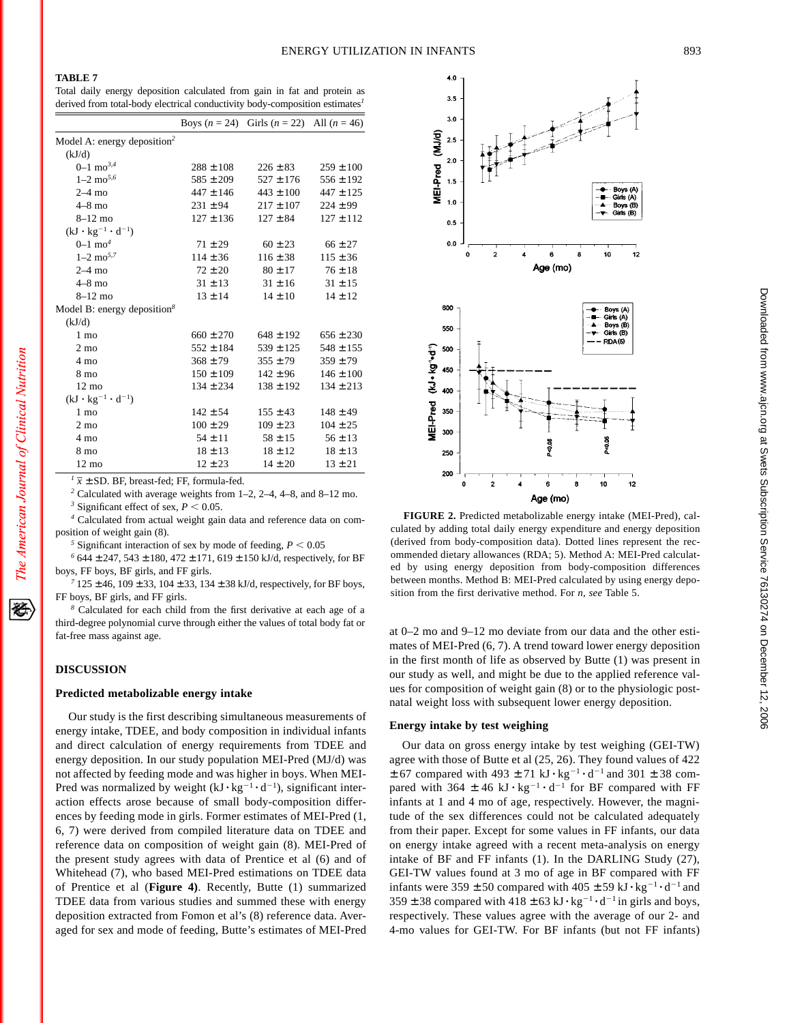Total daily energy deposition calculated from gain in fat and protein as derived from total-body electrical conductivity body-composition estimates*<sup>1</sup>*

|                                         |               | Boys $(n = 24)$ Girls $(n = 22)$ All $(n = 46)$ |               |
|-----------------------------------------|---------------|-------------------------------------------------|---------------|
| Model A: energy deposition <sup>2</sup> |               |                                                 |               |
| (kJ/d)                                  |               |                                                 |               |
| $0-1$ mo <sup>3,4</sup>                 | $288 \pm 108$ | $226 \pm 83$                                    | $259 \pm 100$ |
| $1 - 2$ mo <sup>5,6</sup>               | $585 \pm 209$ | $527 \pm 176$                                   | $556 \pm 192$ |
| $2-4$ mo                                | $447 \pm 146$ | $443 \pm 100$                                   | $447 \pm 125$ |
| $4-8$ mo                                | $231 \pm 94$  | $217 \pm 107$                                   | $224 \pm 99$  |
| $8 - 12$ mo                             | $127 \pm 136$ | $127 \pm 84$                                    | $127 \pm 112$ |
| $(kJ \cdot kg^{-1} \cdot d^{-1})$       |               |                                                 |               |
| $0-1$ mo <sup>4</sup>                   | $71 \pm 29$   | $60 \pm 23$                                     | $66 \pm 27$   |
| $1 - 2$ mo <sup>5,7</sup>               | $114 \pm 36$  | $116 \pm 38$                                    | $115 \pm 36$  |
| $2-4$ mo                                | $72 \pm 20$   | $80 \pm 17$                                     | $76 \pm 18$   |
| $4-8$ mo                                | $31 \pm 13$   | $31 \pm 16$                                     | $31 \pm 15$   |
| $8-12$ mo                               | $13 \pm 14$   | $14 \pm 10$                                     | $14 \pm 12$   |
| Model B: energy deposition $8$          |               |                                                 |               |
| (kJ/d)                                  |               |                                                 |               |
| $1 \text{ mo}$                          | $660 \pm 270$ | $648 \pm 192$                                   | $656 \pm 230$ |
| $2 \text{ mo}$                          | $552 \pm 184$ | $539 \pm 125$                                   | $548 \pm 155$ |
| $4 \text{ mo}$                          | $368 \pm 79$  | $355 \pm 79$                                    | $359 \pm 79$  |
| 8 mo                                    | $150 \pm 109$ | $142 \pm 96$                                    | $146 \pm 100$ |
| $12 \text{ mo}$                         | $134 \pm 234$ | $138 \pm 192$                                   | $134 \pm 213$ |
| $(kJ \cdot kg^{-1} \cdot d^{-1})$       |               |                                                 |               |
| $1 \text{ mo}$                          | $142 \pm 54$  | $155 \pm 43$                                    | $148 \pm 49$  |
| $2 \text{ mo}$                          | $100 \pm 29$  | $109 \pm 23$                                    | $104 \pm 25$  |
| 4 mo                                    | $54 \pm 11$   | $58 \pm 15$                                     | $56 \pm 13$   |
| 8 mo                                    | $18 \pm 13$   | $18 \pm 12$                                     | $18 \pm 13$   |
| $12 \text{ mo}$                         | $12 \pm 23$   | $14 \pm 20$                                     | $13 \pm 21$   |
|                                         |               |                                                 |               |

 $\sqrt{I} \bar{x} \pm SD$ . BF, breast-fed; FF, formula-fed.

*<sup>2</sup>* Calculated with average weights from 1–2, 2–4, 4–8, and 8–12 mo.

<sup>3</sup> Significant effect of sex,  $P < 0.05$ .

*<sup>4</sup>* Calculated from actual weight gain data and reference data on composition of weight gain (8).

<sup>5</sup> Significant interaction of sex by mode of feeding,  $P < 0.05$ 

*<sup>6</sup>* 644 ± 247, 543 ± 180, 472 ± 171, 619 ± 150 kJ/d, respectively, for BF boys, FF boys, BF girls, and FF girls.

*<sup>7</sup>* 125 ± 46, 109 ± 33, 104 ± 33, 134 ± 38 kJ/d, respectively, for BF boys, FF boys, BF girls, and FF girls.

*<sup>8</sup>* Calculated for each child from the first derivative at each age of a third-degree polynomial curve through either the values of total body fat or fat-free mass against age.

## **DISCUSSION**

## **Predicted metabolizable energy intake**

Our study is the first describing simultaneous measurements of energy intake, TDEE, and body composition in individual infants and direct calculation of energy requirements from TDEE and energy deposition. In our study population MEI-Pred (MJ/d) was not affected by feeding mode and was higher in boys. When MEI-Pred was normalized by weight  $(kJ \cdot kg^{-1} \cdot d^{-1})$ , significant interaction effects arose because of small body-composition differences by feeding mode in girls. Former estimates of MEI-Pred (1, 6, 7) were derived from compiled literature data on TDEE and reference data on composition of weight gain (8). MEI-Pred of the present study agrees with data of Prentice et al (6) and of Whitehead (7), who based MEI-Pred estimations on TDEE data of Prentice et al (**Figure 4)**. Recently, Butte (1) summarized TDEE data from various studies and summed these with energy deposition extracted from Fomon et al's (8) reference data. Averaged for sex and mode of feeding, Butte's estimates of MEI-Pred



**FIGURE 2.** Predicted metabolizable energy intake (MEI-Pred), calculated by adding total daily energy expenditure and energy deposition (derived from body-composition data). Dotted lines represent the recommended dietary allowances (RDA; 5). Method A: MEI-Pred calculated by using energy deposition from body-composition differences between months. Method B: MEI-Pred calculated by using energy deposition from the first derivative method. For *n*, *see* Table 5.

at 0–2 mo and 9–12 mo deviate from our data and the other estimates of MEI-Pred (6, 7). A trend toward lower energy deposition in the first month of life as observed by Butte (1) was present in our study as well, and might be due to the applied reference values for composition of weight gain (8) or to the physiologic postnatal weight loss with subsequent lower energy deposition.

## **Energy intake by test weighing**

Our data on gross energy intake by test weighing (GEI-TW) agree with those of Butte et al (25, 26). They found values of 422  $\pm$  67 compared with 493  $\pm$  71 kJ $\cdot$  kg<sup>-1</sup> $\cdot$  d<sup>-1</sup> and 301  $\pm$  38 compared with 364  $\pm$  46 kJ  $\cdot$  kg<sup>-1</sup>  $\cdot$  d<sup>-1</sup> for BF compared with FF infants at 1 and 4 mo of age, respectively. However, the magnitude of the sex differences could not be calculated adequately from their paper. Except for some values in FF infants, our data on energy intake agreed with a recent meta-analysis on energy intake of BF and FF infants (1). In the DARLING Study (27), GEI-TW values found at 3 mo of age in BF compared with FF infants were  $359 \pm 50$  compared with  $405 \pm 59$  kJ $\cdot$ kg<sup>-1</sup> $\cdot$ d<sup>-1</sup> and  $359 \pm 38$  compared with  $418 \pm 63$  kJ $\cdot$ kg<sup>-1</sup> $\cdot$ d<sup>-1</sup> in girls and boys, respectively. These values agree with the average of our 2- and 4-mo values for GEI-TW. For BF infants (but not FF infants)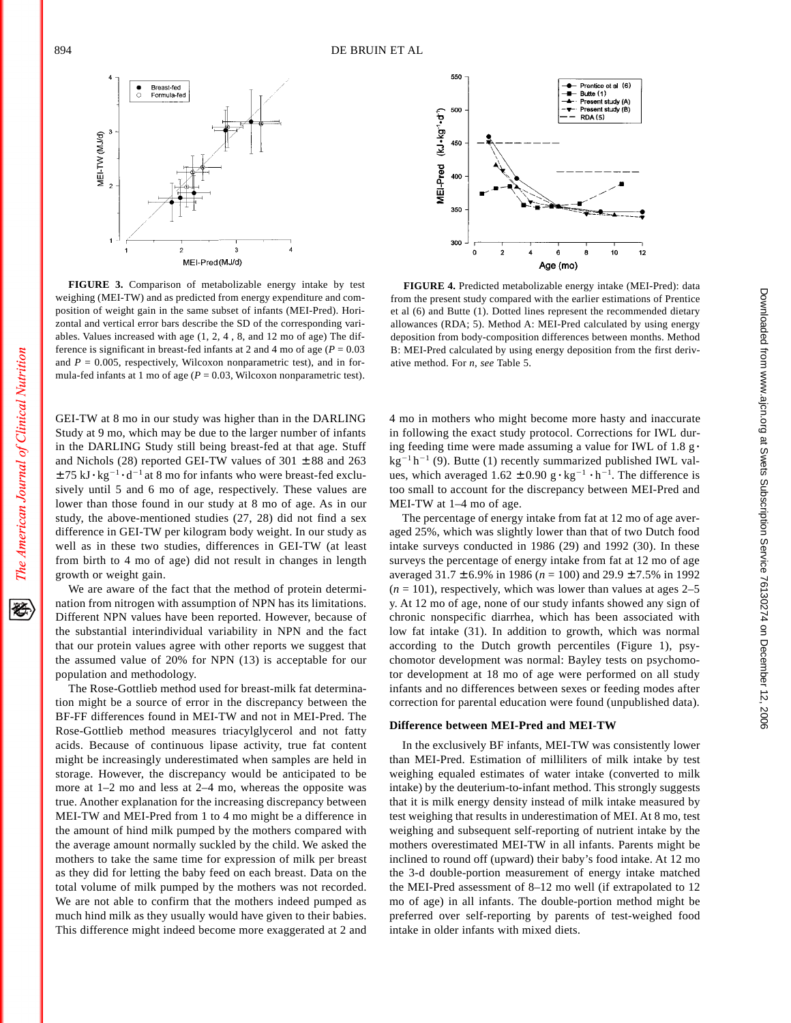经



**FIGURE 3.** Comparison of metabolizable energy intake by test weighing (MEI-TW) and as predicted from energy expenditure and composition of weight gain in the same subset of infants (MEI-Pred). Horizontal and vertical error bars describe the SD of the corresponding variables. Values increased with age (1, 2, 4 , 8, and 12 mo of age) The difference is significant in breast-fed infants at 2 and 4 mo of age ( $P = 0.03$ ) and  $P = 0.005$ , respectively, Wilcoxon nonparametric test), and in formula-fed infants at 1 mo of age ( $P = 0.03$ , Wilcoxon nonparametric test).

GEI-TW at 8 mo in our study was higher than in the DARLING Study at 9 mo, which may be due to the larger number of infants in the DARLING Study still being breast-fed at that age. Stuff and Nichols (28) reported GEI-TW values of  $301 \pm 88$  and  $263$  $\pm$  75 kJ $\cdot$  kg<sup>-1</sup> $\cdot$ d<sup>-1</sup> at 8 mo for infants who were breast-fed exclusively until 5 and 6 mo of age, respectively. These values are lower than those found in our study at 8 mo of age. As in our study, the above-mentioned studies (27, 28) did not find a sex difference in GEI-TW per kilogram body weight. In our study as well as in these two studies, differences in GEI-TW (at least from birth to 4 mo of age) did not result in changes in length growth or weight gain.

We are aware of the fact that the method of protein determination from nitrogen with assumption of NPN has its limitations. Different NPN values have been reported. However, because of the substantial interindividual variability in NPN and the fact that our protein values agree with other reports we suggest that the assumed value of 20% for NPN (13) is acceptable for our population and methodology.

The Rose-Gottlieb method used for breast-milk fat determination might be a source of error in the discrepancy between the BF-FF differences found in MEI-TW and not in MEI-Pred. The Rose-Gottlieb method measures triacylglycerol and not fatty acids. Because of continuous lipase activity, true fat content might be increasingly underestimated when samples are held in storage. However, the discrepancy would be anticipated to be more at 1–2 mo and less at 2–4 mo, whereas the opposite was true. Another explanation for the increasing discrepancy between MEI-TW and MEI-Pred from 1 to 4 mo might be a difference in the amount of hind milk pumped by the mothers compared with the average amount normally suckled by the child. We asked the mothers to take the same time for expression of milk per breast as they did for letting the baby feed on each breast. Data on the total volume of milk pumped by the mothers was not recorded. We are not able to confirm that the mothers indeed pumped as much hind milk as they usually would have given to their babies. This difference might indeed become more exaggerated at 2 and



**FIGURE 4.** Predicted metabolizable energy intake (MEI-Pred): data from the present study compared with the earlier estimations of Prentice et al (6) and Butte (1). Dotted lines represent the recommended dietary allowances (RDA; 5). Method A: MEI-Pred calculated by using energy deposition from body-composition differences between months. Method B: MEI-Pred calculated by using energy deposition from the first derivative method. For *n*, *see* Table 5.

4 mo in mothers who might become more hasty and inaccurate in following the exact study protocol. Corrections for IWL during feeding time were made assuming a value for IWL of 1.8 g $\cdot$  $kg^{-1}h^{-1}$  (9). Butte (1) recently summarized published IWL values, which averaged  $1.62 \pm 0.90$  g $\cdot$ kg<sup>-1</sup> $\cdot$ h<sup>-1</sup>. The difference is too small to account for the discrepancy between MEI-Pred and MEI-TW at 1–4 mo of age.

The percentage of energy intake from fat at 12 mo of age averaged 25%, which was slightly lower than that of two Dutch food intake surveys conducted in 1986 (29) and 1992 (30). In these surveys the percentage of energy intake from fat at 12 mo of age averaged 31.7 ± 6.9% in 1986 (*n* = 100) and 29.9 ± 7.5% in 1992  $(n = 101)$ , respectively, which was lower than values at ages  $2-5$ y. At 12 mo of age, none of our study infants showed any sign of chronic nonspecific diarrhea, which has been associated with low fat intake (31). In addition to growth, which was normal according to the Dutch growth percentiles (Figure 1), psychomotor development was normal: Bayley tests on psychomotor development at 18 mo of age were performed on all study infants and no differences between sexes or feeding modes after correction for parental education were found (unpublished data).

#### **Difference between MEI-Pred and MEI-TW**

In the exclusively BF infants, MEI-TW was consistently lower than MEI-Pred. Estimation of milliliters of milk intake by test weighing equaled estimates of water intake (converted to milk intake) by the deuterium-to-infant method. This strongly suggests that it is milk energy density instead of milk intake measured by test weighing that results in underestimation of MEI. At 8 mo, test weighing and subsequent self-reporting of nutrient intake by the mothers overestimated MEI-TW in all infants. Parents might be inclined to round off (upward) their baby's food intake. At 12 mo the 3-d double-portion measurement of energy intake matched the MEI-Pred assessment of 8–12 mo well (if extrapolated to 12 mo of age) in all infants. The double-portion method might be preferred over self-reporting by parents of test-weighed food intake in older infants with mixed diets.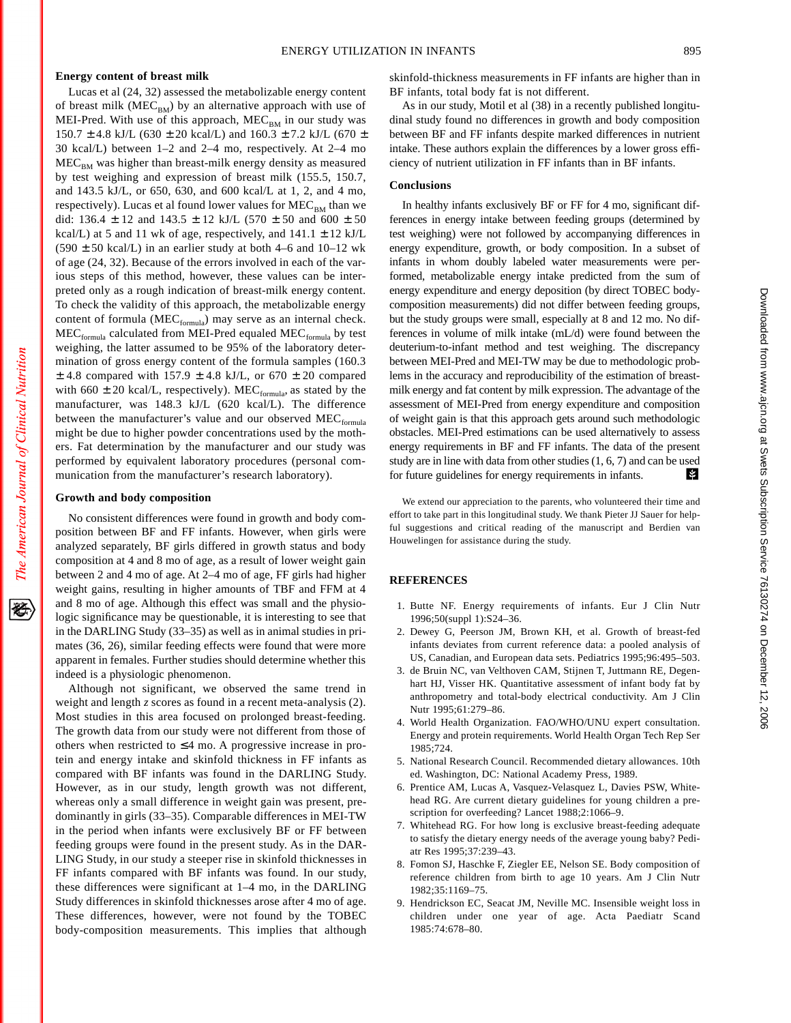## **Energy content of breast milk**

Lucas et al (24, 32) assessed the metabolizable energy content of breast milk ( $MEC<sub>BM</sub>$ ) by an alternative approach with use of MEI-Pred. With use of this approach,  $MEC_{BM}$  in our study was  $150.7 \pm 4.8$  kJ/L (630  $\pm$  20 kcal/L) and  $160.3 \pm 7.2$  kJ/L (670  $\pm$ 30 kcal/L) between 1–2 and 2–4 mo, respectively. At 2–4 mo  $MEC<sub>BM</sub>$  was higher than breast-milk energy density as measured by test weighing and expression of breast milk (155.5, 150.7, and 143.5 kJ/L, or 650, 630, and 600 kcal/L at 1, 2, and 4 mo, respectively). Lucas et al found lower values for  $MEC<sub>BM</sub>$  than we did: 136.4  $\pm$  12 and 143.5  $\pm$  12 kJ/L (570  $\pm$  50 and 600  $\pm$  50 kcal/L) at 5 and 11 wk of age, respectively, and  $141.1 \pm 12$  kJ/L  $(590 \pm 50 \text{ kcal/L})$  in an earlier study at both 4–6 and 10–12 wk of age (24, 32). Because of the errors involved in each of the various steps of this method, however, these values can be interpreted only as a rough indication of breast-milk energy content. To check the validity of this approach, the metabolizable energy content of formula ( $MEC_{formula}$ ) may serve as an internal check. MEC<sub>formula</sub> calculated from MEI-Pred equaled MEC<sub>formula</sub> by test weighing, the latter assumed to be 95% of the laboratory determination of gross energy content of the formula samples (160.3  $\pm$  4.8 compared with 157.9  $\pm$  4.8 kJ/L, or 670  $\pm$  20 compared with 660  $\pm$  20 kcal/L, respectively). MEC<sub>formula</sub>, as stated by the manufacturer, was 148.3 kJ/L (620 kcal/L). The difference between the manufacturer's value and our observed  $MEC_{formula}$ might be due to higher powder concentrations used by the mothers. Fat determination by the manufacturer and our study was performed by equivalent laboratory procedures (personal communication from the manufacturer's research laboratory).

## **Growth and body composition**

No consistent differences were found in growth and body composition between BF and FF infants. However, when girls were analyzed separately, BF girls differed in growth status and body composition at 4 and 8 mo of age, as a result of lower weight gain between 2 and 4 mo of age. At 2–4 mo of age, FF girls had higher weight gains, resulting in higher amounts of TBF and FFM at 4 and 8 mo of age. Although this effect was small and the physiologic significance may be questionable, it is interesting to see that in the DARLING Study (33–35) as well as in animal studies in primates (36, 26), similar feeding effects were found that were more apparent in females. Further studies should determine whether this indeed is a physiologic phenomenon.

Although not significant, we observed the same trend in weight and length *z* scores as found in a recent meta-analysis (2). Most studies in this area focused on prolonged breast-feeding. The growth data from our study were not different from those of others when restricted to  $\leq$ 4 mo. A progressive increase in protein and energy intake and skinfold thickness in FF infants as compared with BF infants was found in the DARLING Study. However, as in our study, length growth was not different, whereas only a small difference in weight gain was present, predominantly in girls (33–35). Comparable differences in MEI-TW in the period when infants were exclusively BF or FF between feeding groups were found in the present study. As in the DAR-LING Study, in our study a steeper rise in skinfold thicknesses in FF infants compared with BF infants was found. In our study, these differences were significant at 1–4 mo, in the DARLING Study differences in skinfold thicknesses arose after 4 mo of age. These differences, however, were not found by the TOBEC body-composition measurements. This implies that although

As in our study, Motil et al (38) in a recently published longitudinal study found no differences in growth and body composition between BF and FF infants despite marked differences in nutrient intake. These authors explain the differences by a lower gross efficiency of nutrient utilization in FF infants than in BF infants.

## **Conclusions**

In healthy infants exclusively BF or FF for 4 mo, significant differences in energy intake between feeding groups (determined by test weighing) were not followed by accompanying differences in energy expenditure, growth, or body composition. In a subset of infants in whom doubly labeled water measurements were performed, metabolizable energy intake predicted from the sum of energy expenditure and energy deposition (by direct TOBEC bodycomposition measurements) did not differ between feeding groups, but the study groups were small, especially at 8 and 12 mo. No differences in volume of milk intake (mL/d) were found between the deuterium-to-infant method and test weighing. The discrepancy between MEI-Pred and MEI-TW may be due to methodologic problems in the accuracy and reproducibility of the estimation of breastmilk energy and fat content by milk expression. The advantage of the assessment of MEI-Pred from energy expenditure and composition of weight gain is that this approach gets around such methodologic obstacles. MEI-Pred estimations can be used alternatively to assess energy requirements in BF and FF infants. The data of the present study are in line with data from other studies (1, 6, 7) and can be used for future guidelines for energy requirements in infants. Ń.

We extend our appreciation to the parents, who volunteered their time and effort to take part in this longitudinal study. We thank Pieter JJ Sauer for helpful suggestions and critical reading of the manuscript and Berdien van Houwelingen for assistance during the study.

## **REFERENCES**

- 1. Butte NF. Energy requirements of infants. Eur J Clin Nutr 1996;50(suppl 1):S24–36.
- 2. Dewey G, Peerson JM, Brown KH, et al. Growth of breast-fed infants deviates from current reference data: a pooled analysis of US, Canadian, and European data sets. Pediatrics 1995;96:495–503.
- 3. de Bruin NC, van Velthoven CAM, Stijnen T, Juttmann RE, Degenhart HJ, Visser HK. Quantitative assessment of infant body fat by anthropometry and total-body electrical conductivity. Am J Clin Nutr 1995;61:279–86.
- 4. World Health Organization. FAO/WHO/UNU expert consultation. Energy and protein requirements. World Health Organ Tech Rep Ser 1985;724.
- 5. National Research Council. Recommended dietary allowances. 10th ed. Washington, DC: National Academy Press, 1989.
- 6. Prentice AM, Lucas A, Vasquez-Velasquez L, Davies PSW, Whitehead RG. Are current dietary guidelines for young children a prescription for overfeeding? Lancet 1988;2:1066–9.
- 7. Whitehead RG. For how long is exclusive breast-feeding adequate to satisfy the dietary energy needs of the average young baby? Pediatr Res 1995;37:239–43.
- 8. Fomon SJ, Haschke F, Ziegler EE, Nelson SE. Body composition of reference children from birth to age 10 years. Am J Clin Nutr 1982;35:1169–75.
- 9. Hendrickson EC, Seacat JM, Neville MC. Insensible weight loss in children under one year of age. Acta Paediatr Scand 1985:74:678–80.